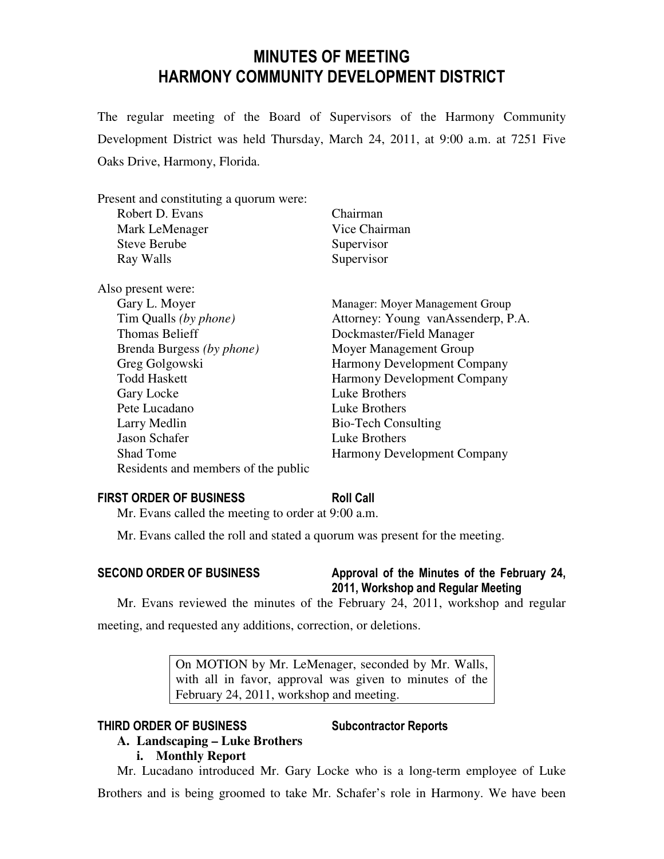# MINUTES OF MEETING HARMONY COMMUNITY DEVELOPMENT DISTRICT

The regular meeting of the Board of Supervisors of the Harmony Community Development District was held Thursday, March 24, 2011, at 9:00 a.m. at 7251 Five Oaks Drive, Harmony, Florida.

| Present and constituting a quorum were: |               |
|-----------------------------------------|---------------|
| Robert D. Evans                         | Chairman      |
| Mark LeMenager                          | Vice Chairman |
| <b>Steve Berube</b>                     | Supervisor    |
| Ray Walls                               | Supervisor    |
|                                         |               |

| Also present were:                  |                                    |
|-------------------------------------|------------------------------------|
| Gary L. Moyer                       | Manager: Moyer Management Group    |
| Tim Qualls (by phone)               | Attorney: Young vanAssenderp, P.A. |
| <b>Thomas Belieff</b>               | Dockmaster/Field Manager           |
| Brenda Burgess (by phone)           | Moyer Management Group             |
| Greg Golgowski                      | <b>Harmony Development Company</b> |
| <b>Todd Haskett</b>                 | <b>Harmony Development Company</b> |
| Gary Locke                          | Luke Brothers                      |
| Pete Lucadano                       | Luke Brothers                      |
| Larry Medlin                        | <b>Bio-Tech Consulting</b>         |
| Jason Schafer                       | Luke Brothers                      |
| <b>Shad Tome</b>                    | <b>Harmony Development Company</b> |
| Residents and members of the public |                                    |

## FIRST ORDER OF BUSINESS Roll Call

Mr. Evans called the meeting to order at 9:00 a.m.

Mr. Evans called the roll and stated a quorum was present for the meeting.

## SECOND ORDER OF BUSINESS Approval of the Minutes of the February 24, 2011, Workshop and Regular Meeting

Mr. Evans reviewed the minutes of the February 24, 2011, workshop and regular

meeting, and requested any additions, correction, or deletions.

On MOTION by Mr. LeMenager, seconded by Mr. Walls, with all in favor, approval was given to minutes of the February 24, 2011, workshop and meeting.

### THIRD ORDER OF BUSINESS Subcontractor Reports

## **A. Landscaping – Luke Brothers**

## **i. Monthly Report**

Mr. Lucadano introduced Mr. Gary Locke who is a long-term employee of Luke

Brothers and is being groomed to take Mr. Schafer's role in Harmony. We have been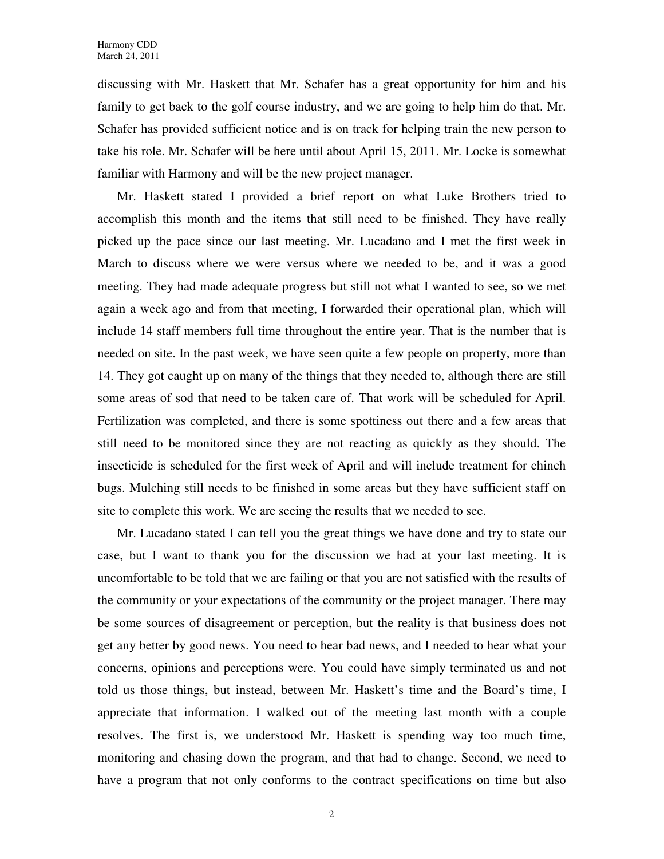discussing with Mr. Haskett that Mr. Schafer has a great opportunity for him and his family to get back to the golf course industry, and we are going to help him do that. Mr. Schafer has provided sufficient notice and is on track for helping train the new person to take his role. Mr. Schafer will be here until about April 15, 2011. Mr. Locke is somewhat familiar with Harmony and will be the new project manager.

Mr. Haskett stated I provided a brief report on what Luke Brothers tried to accomplish this month and the items that still need to be finished. They have really picked up the pace since our last meeting. Mr. Lucadano and I met the first week in March to discuss where we were versus where we needed to be, and it was a good meeting. They had made adequate progress but still not what I wanted to see, so we met again a week ago and from that meeting, I forwarded their operational plan, which will include 14 staff members full time throughout the entire year. That is the number that is needed on site. In the past week, we have seen quite a few people on property, more than 14. They got caught up on many of the things that they needed to, although there are still some areas of sod that need to be taken care of. That work will be scheduled for April. Fertilization was completed, and there is some spottiness out there and a few areas that still need to be monitored since they are not reacting as quickly as they should. The insecticide is scheduled for the first week of April and will include treatment for chinch bugs. Mulching still needs to be finished in some areas but they have sufficient staff on site to complete this work. We are seeing the results that we needed to see.

Mr. Lucadano stated I can tell you the great things we have done and try to state our case, but I want to thank you for the discussion we had at your last meeting. It is uncomfortable to be told that we are failing or that you are not satisfied with the results of the community or your expectations of the community or the project manager. There may be some sources of disagreement or perception, but the reality is that business does not get any better by good news. You need to hear bad news, and I needed to hear what your concerns, opinions and perceptions were. You could have simply terminated us and not told us those things, but instead, between Mr. Haskett's time and the Board's time, I appreciate that information. I walked out of the meeting last month with a couple resolves. The first is, we understood Mr. Haskett is spending way too much time, monitoring and chasing down the program, and that had to change. Second, we need to have a program that not only conforms to the contract specifications on time but also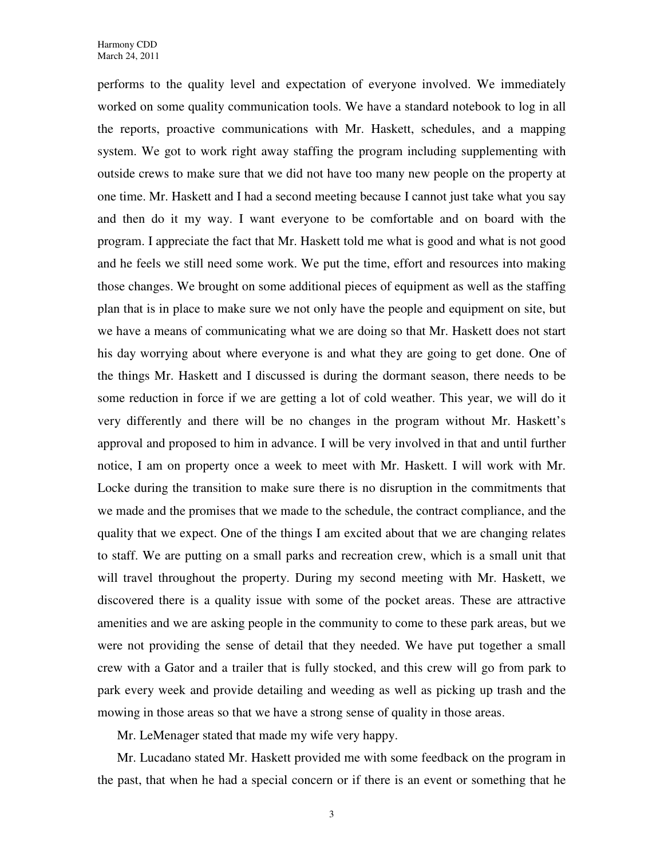performs to the quality level and expectation of everyone involved. We immediately worked on some quality communication tools. We have a standard notebook to log in all the reports, proactive communications with Mr. Haskett, schedules, and a mapping system. We got to work right away staffing the program including supplementing with outside crews to make sure that we did not have too many new people on the property at one time. Mr. Haskett and I had a second meeting because I cannot just take what you say and then do it my way. I want everyone to be comfortable and on board with the program. I appreciate the fact that Mr. Haskett told me what is good and what is not good and he feels we still need some work. We put the time, effort and resources into making those changes. We brought on some additional pieces of equipment as well as the staffing plan that is in place to make sure we not only have the people and equipment on site, but we have a means of communicating what we are doing so that Mr. Haskett does not start his day worrying about where everyone is and what they are going to get done. One of the things Mr. Haskett and I discussed is during the dormant season, there needs to be some reduction in force if we are getting a lot of cold weather. This year, we will do it very differently and there will be no changes in the program without Mr. Haskett's approval and proposed to him in advance. I will be very involved in that and until further notice, I am on property once a week to meet with Mr. Haskett. I will work with Mr. Locke during the transition to make sure there is no disruption in the commitments that we made and the promises that we made to the schedule, the contract compliance, and the quality that we expect. One of the things I am excited about that we are changing relates to staff. We are putting on a small parks and recreation crew, which is a small unit that will travel throughout the property. During my second meeting with Mr. Haskett, we discovered there is a quality issue with some of the pocket areas. These are attractive amenities and we are asking people in the community to come to these park areas, but we were not providing the sense of detail that they needed. We have put together a small crew with a Gator and a trailer that is fully stocked, and this crew will go from park to park every week and provide detailing and weeding as well as picking up trash and the mowing in those areas so that we have a strong sense of quality in those areas.

Mr. LeMenager stated that made my wife very happy.

Mr. Lucadano stated Mr. Haskett provided me with some feedback on the program in the past, that when he had a special concern or if there is an event or something that he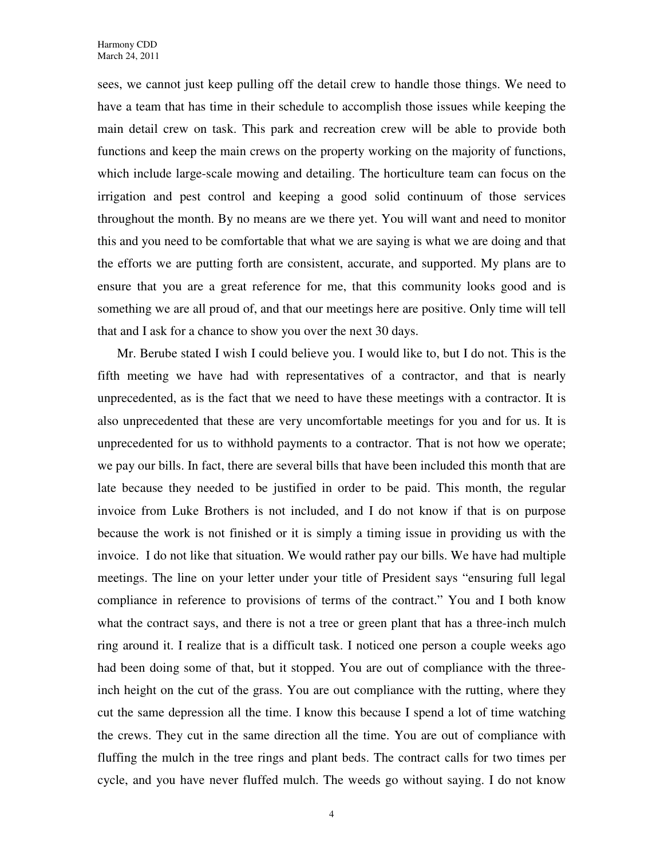sees, we cannot just keep pulling off the detail crew to handle those things. We need to have a team that has time in their schedule to accomplish those issues while keeping the main detail crew on task. This park and recreation crew will be able to provide both functions and keep the main crews on the property working on the majority of functions, which include large-scale mowing and detailing. The horticulture team can focus on the irrigation and pest control and keeping a good solid continuum of those services throughout the month. By no means are we there yet. You will want and need to monitor this and you need to be comfortable that what we are saying is what we are doing and that the efforts we are putting forth are consistent, accurate, and supported. My plans are to ensure that you are a great reference for me, that this community looks good and is something we are all proud of, and that our meetings here are positive. Only time will tell that and I ask for a chance to show you over the next 30 days.

Mr. Berube stated I wish I could believe you. I would like to, but I do not. This is the fifth meeting we have had with representatives of a contractor, and that is nearly unprecedented, as is the fact that we need to have these meetings with a contractor. It is also unprecedented that these are very uncomfortable meetings for you and for us. It is unprecedented for us to withhold payments to a contractor. That is not how we operate; we pay our bills. In fact, there are several bills that have been included this month that are late because they needed to be justified in order to be paid. This month, the regular invoice from Luke Brothers is not included, and I do not know if that is on purpose because the work is not finished or it is simply a timing issue in providing us with the invoice. I do not like that situation. We would rather pay our bills. We have had multiple meetings. The line on your letter under your title of President says "ensuring full legal compliance in reference to provisions of terms of the contract." You and I both know what the contract says, and there is not a tree or green plant that has a three-inch mulch ring around it. I realize that is a difficult task. I noticed one person a couple weeks ago had been doing some of that, but it stopped. You are out of compliance with the threeinch height on the cut of the grass. You are out compliance with the rutting, where they cut the same depression all the time. I know this because I spend a lot of time watching the crews. They cut in the same direction all the time. You are out of compliance with fluffing the mulch in the tree rings and plant beds. The contract calls for two times per cycle, and you have never fluffed mulch. The weeds go without saying. I do not know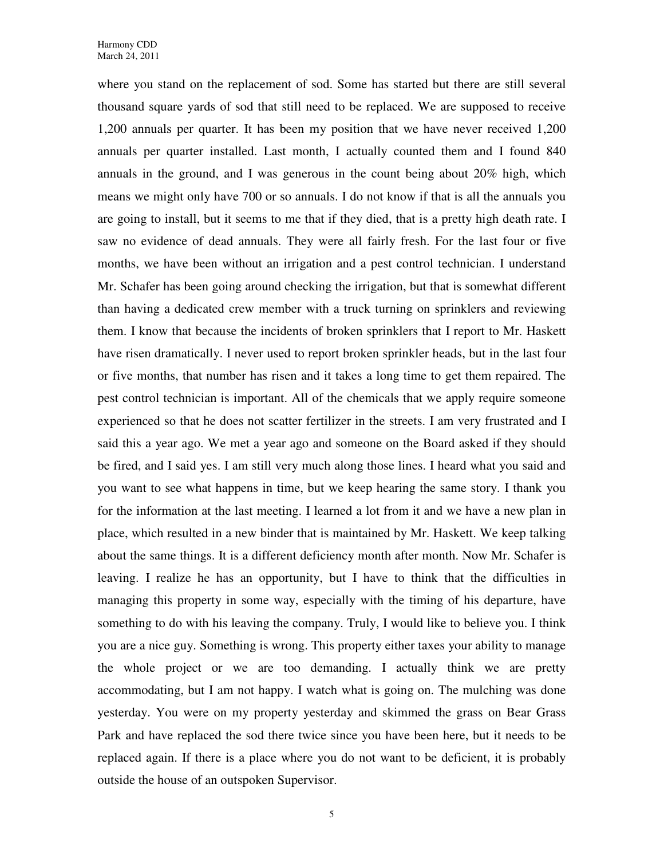where you stand on the replacement of sod. Some has started but there are still several thousand square yards of sod that still need to be replaced. We are supposed to receive 1,200 annuals per quarter. It has been my position that we have never received 1,200 annuals per quarter installed. Last month, I actually counted them and I found 840 annuals in the ground, and I was generous in the count being about 20% high, which means we might only have 700 or so annuals. I do not know if that is all the annuals you are going to install, but it seems to me that if they died, that is a pretty high death rate. I saw no evidence of dead annuals. They were all fairly fresh. For the last four or five months, we have been without an irrigation and a pest control technician. I understand Mr. Schafer has been going around checking the irrigation, but that is somewhat different than having a dedicated crew member with a truck turning on sprinklers and reviewing them. I know that because the incidents of broken sprinklers that I report to Mr. Haskett have risen dramatically. I never used to report broken sprinkler heads, but in the last four or five months, that number has risen and it takes a long time to get them repaired. The pest control technician is important. All of the chemicals that we apply require someone experienced so that he does not scatter fertilizer in the streets. I am very frustrated and I said this a year ago. We met a year ago and someone on the Board asked if they should be fired, and I said yes. I am still very much along those lines. I heard what you said and you want to see what happens in time, but we keep hearing the same story. I thank you for the information at the last meeting. I learned a lot from it and we have a new plan in place, which resulted in a new binder that is maintained by Mr. Haskett. We keep talking about the same things. It is a different deficiency month after month. Now Mr. Schafer is leaving. I realize he has an opportunity, but I have to think that the difficulties in managing this property in some way, especially with the timing of his departure, have something to do with his leaving the company. Truly, I would like to believe you. I think you are a nice guy. Something is wrong. This property either taxes your ability to manage the whole project or we are too demanding. I actually think we are pretty accommodating, but I am not happy. I watch what is going on. The mulching was done yesterday. You were on my property yesterday and skimmed the grass on Bear Grass Park and have replaced the sod there twice since you have been here, but it needs to be replaced again. If there is a place where you do not want to be deficient, it is probably outside the house of an outspoken Supervisor.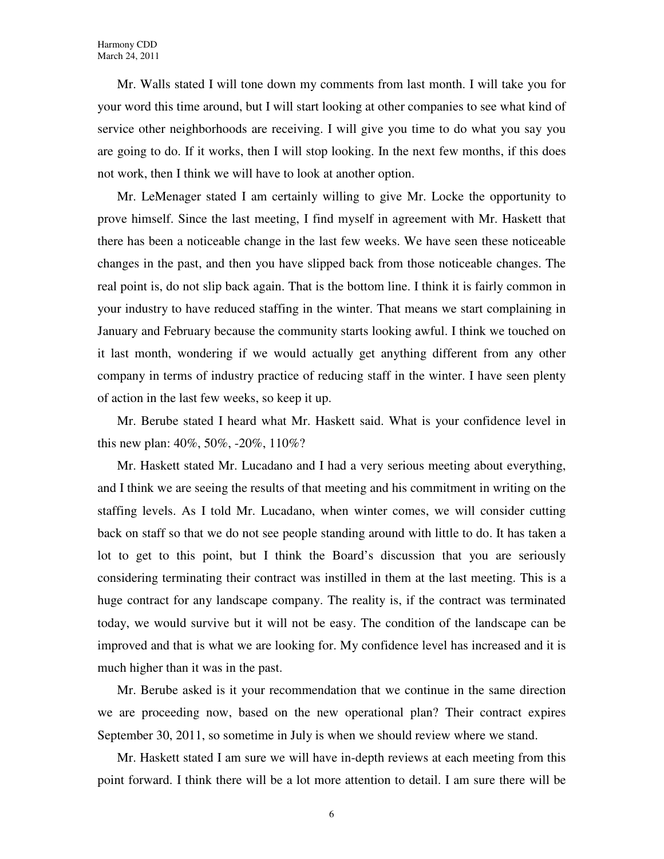Mr. Walls stated I will tone down my comments from last month. I will take you for your word this time around, but I will start looking at other companies to see what kind of service other neighborhoods are receiving. I will give you time to do what you say you are going to do. If it works, then I will stop looking. In the next few months, if this does not work, then I think we will have to look at another option.

Mr. LeMenager stated I am certainly willing to give Mr. Locke the opportunity to prove himself. Since the last meeting, I find myself in agreement with Mr. Haskett that there has been a noticeable change in the last few weeks. We have seen these noticeable changes in the past, and then you have slipped back from those noticeable changes. The real point is, do not slip back again. That is the bottom line. I think it is fairly common in your industry to have reduced staffing in the winter. That means we start complaining in January and February because the community starts looking awful. I think we touched on it last month, wondering if we would actually get anything different from any other company in terms of industry practice of reducing staff in the winter. I have seen plenty of action in the last few weeks, so keep it up.

Mr. Berube stated I heard what Mr. Haskett said. What is your confidence level in this new plan: 40%, 50%, -20%, 110%?

Mr. Haskett stated Mr. Lucadano and I had a very serious meeting about everything, and I think we are seeing the results of that meeting and his commitment in writing on the staffing levels. As I told Mr. Lucadano, when winter comes, we will consider cutting back on staff so that we do not see people standing around with little to do. It has taken a lot to get to this point, but I think the Board's discussion that you are seriously considering terminating their contract was instilled in them at the last meeting. This is a huge contract for any landscape company. The reality is, if the contract was terminated today, we would survive but it will not be easy. The condition of the landscape can be improved and that is what we are looking for. My confidence level has increased and it is much higher than it was in the past.

Mr. Berube asked is it your recommendation that we continue in the same direction we are proceeding now, based on the new operational plan? Their contract expires September 30, 2011, so sometime in July is when we should review where we stand.

Mr. Haskett stated I am sure we will have in-depth reviews at each meeting from this point forward. I think there will be a lot more attention to detail. I am sure there will be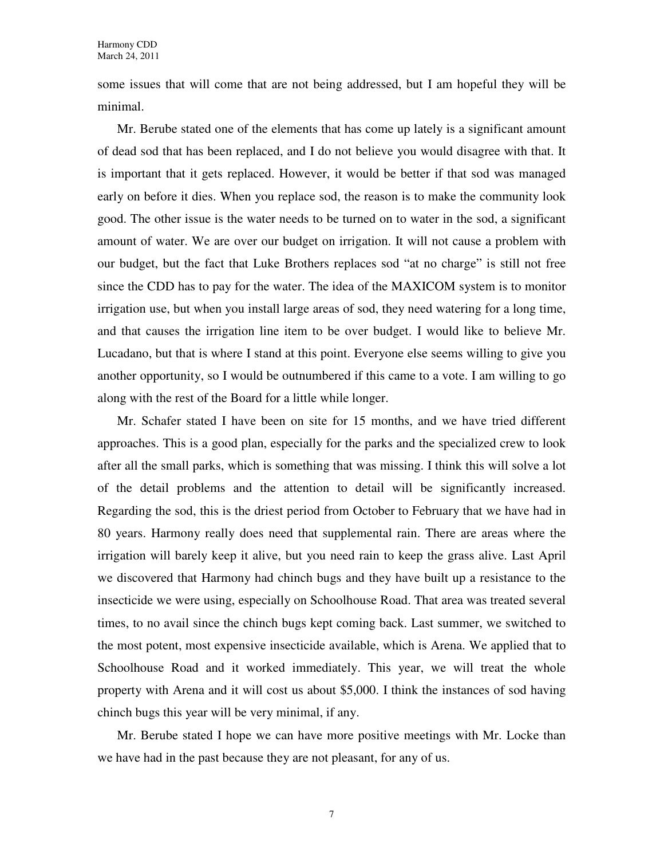some issues that will come that are not being addressed, but I am hopeful they will be minimal.

Mr. Berube stated one of the elements that has come up lately is a significant amount of dead sod that has been replaced, and I do not believe you would disagree with that. It is important that it gets replaced. However, it would be better if that sod was managed early on before it dies. When you replace sod, the reason is to make the community look good. The other issue is the water needs to be turned on to water in the sod, a significant amount of water. We are over our budget on irrigation. It will not cause a problem with our budget, but the fact that Luke Brothers replaces sod "at no charge" is still not free since the CDD has to pay for the water. The idea of the MAXICOM system is to monitor irrigation use, but when you install large areas of sod, they need watering for a long time, and that causes the irrigation line item to be over budget. I would like to believe Mr. Lucadano, but that is where I stand at this point. Everyone else seems willing to give you another opportunity, so I would be outnumbered if this came to a vote. I am willing to go along with the rest of the Board for a little while longer.

Mr. Schafer stated I have been on site for 15 months, and we have tried different approaches. This is a good plan, especially for the parks and the specialized crew to look after all the small parks, which is something that was missing. I think this will solve a lot of the detail problems and the attention to detail will be significantly increased. Regarding the sod, this is the driest period from October to February that we have had in 80 years. Harmony really does need that supplemental rain. There are areas where the irrigation will barely keep it alive, but you need rain to keep the grass alive. Last April we discovered that Harmony had chinch bugs and they have built up a resistance to the insecticide we were using, especially on Schoolhouse Road. That area was treated several times, to no avail since the chinch bugs kept coming back. Last summer, we switched to the most potent, most expensive insecticide available, which is Arena. We applied that to Schoolhouse Road and it worked immediately. This year, we will treat the whole property with Arena and it will cost us about \$5,000. I think the instances of sod having chinch bugs this year will be very minimal, if any.

Mr. Berube stated I hope we can have more positive meetings with Mr. Locke than we have had in the past because they are not pleasant, for any of us.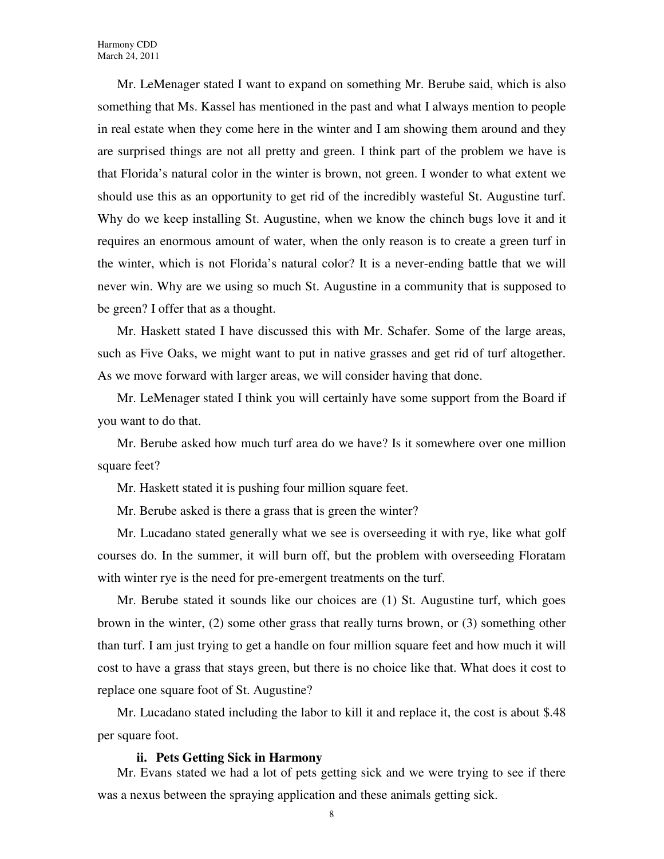Mr. LeMenager stated I want to expand on something Mr. Berube said, which is also something that Ms. Kassel has mentioned in the past and what I always mention to people in real estate when they come here in the winter and I am showing them around and they are surprised things are not all pretty and green. I think part of the problem we have is that Florida's natural color in the winter is brown, not green. I wonder to what extent we should use this as an opportunity to get rid of the incredibly wasteful St. Augustine turf. Why do we keep installing St. Augustine, when we know the chinch bugs love it and it requires an enormous amount of water, when the only reason is to create a green turf in the winter, which is not Florida's natural color? It is a never-ending battle that we will never win. Why are we using so much St. Augustine in a community that is supposed to be green? I offer that as a thought.

Mr. Haskett stated I have discussed this with Mr. Schafer. Some of the large areas, such as Five Oaks, we might want to put in native grasses and get rid of turf altogether. As we move forward with larger areas, we will consider having that done.

Mr. LeMenager stated I think you will certainly have some support from the Board if you want to do that.

Mr. Berube asked how much turf area do we have? Is it somewhere over one million square feet?

Mr. Haskett stated it is pushing four million square feet.

Mr. Berube asked is there a grass that is green the winter?

Mr. Lucadano stated generally what we see is overseeding it with rye, like what golf courses do. In the summer, it will burn off, but the problem with overseeding Floratam with winter rye is the need for pre-emergent treatments on the turf.

Mr. Berube stated it sounds like our choices are (1) St. Augustine turf, which goes brown in the winter, (2) some other grass that really turns brown, or (3) something other than turf. I am just trying to get a handle on four million square feet and how much it will cost to have a grass that stays green, but there is no choice like that. What does it cost to replace one square foot of St. Augustine?

Mr. Lucadano stated including the labor to kill it and replace it, the cost is about \$.48 per square foot.

#### **ii. Pets Getting Sick in Harmony**

Mr. Evans stated we had a lot of pets getting sick and we were trying to see if there was a nexus between the spraying application and these animals getting sick.

8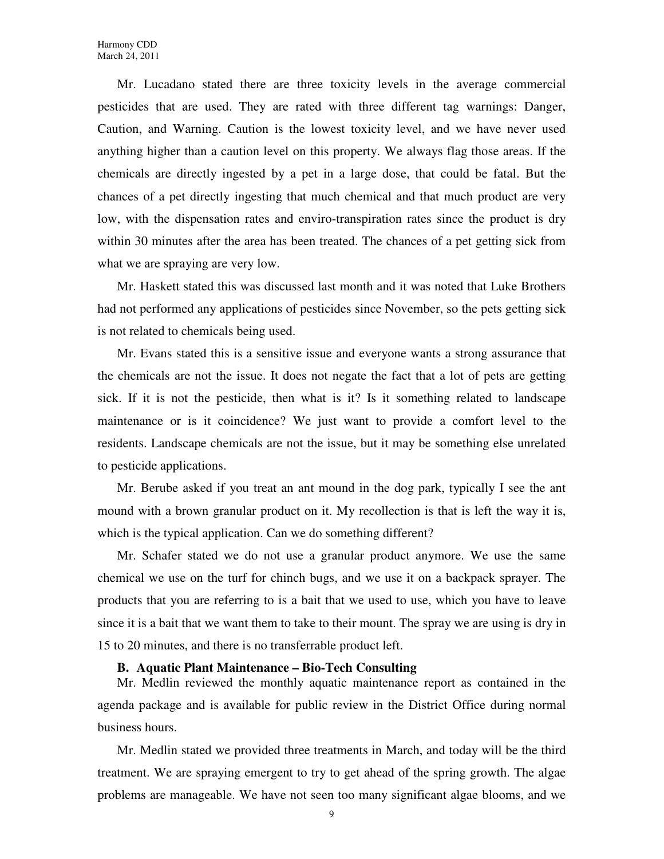Mr. Lucadano stated there are three toxicity levels in the average commercial pesticides that are used. They are rated with three different tag warnings: Danger, Caution, and Warning. Caution is the lowest toxicity level, and we have never used anything higher than a caution level on this property. We always flag those areas. If the chemicals are directly ingested by a pet in a large dose, that could be fatal. But the chances of a pet directly ingesting that much chemical and that much product are very low, with the dispensation rates and enviro-transpiration rates since the product is dry within 30 minutes after the area has been treated. The chances of a pet getting sick from what we are spraying are very low.

Mr. Haskett stated this was discussed last month and it was noted that Luke Brothers had not performed any applications of pesticides since November, so the pets getting sick is not related to chemicals being used.

Mr. Evans stated this is a sensitive issue and everyone wants a strong assurance that the chemicals are not the issue. It does not negate the fact that a lot of pets are getting sick. If it is not the pesticide, then what is it? Is it something related to landscape maintenance or is it coincidence? We just want to provide a comfort level to the residents. Landscape chemicals are not the issue, but it may be something else unrelated to pesticide applications.

Mr. Berube asked if you treat an ant mound in the dog park, typically I see the ant mound with a brown granular product on it. My recollection is that is left the way it is, which is the typical application. Can we do something different?

Mr. Schafer stated we do not use a granular product anymore. We use the same chemical we use on the turf for chinch bugs, and we use it on a backpack sprayer. The products that you are referring to is a bait that we used to use, which you have to leave since it is a bait that we want them to take to their mount. The spray we are using is dry in 15 to 20 minutes, and there is no transferrable product left.

### **B. Aquatic Plant Maintenance – Bio-Tech Consulting**

Mr. Medlin reviewed the monthly aquatic maintenance report as contained in the agenda package and is available for public review in the District Office during normal business hours.

Mr. Medlin stated we provided three treatments in March, and today will be the third treatment. We are spraying emergent to try to get ahead of the spring growth. The algae problems are manageable. We have not seen too many significant algae blooms, and we

9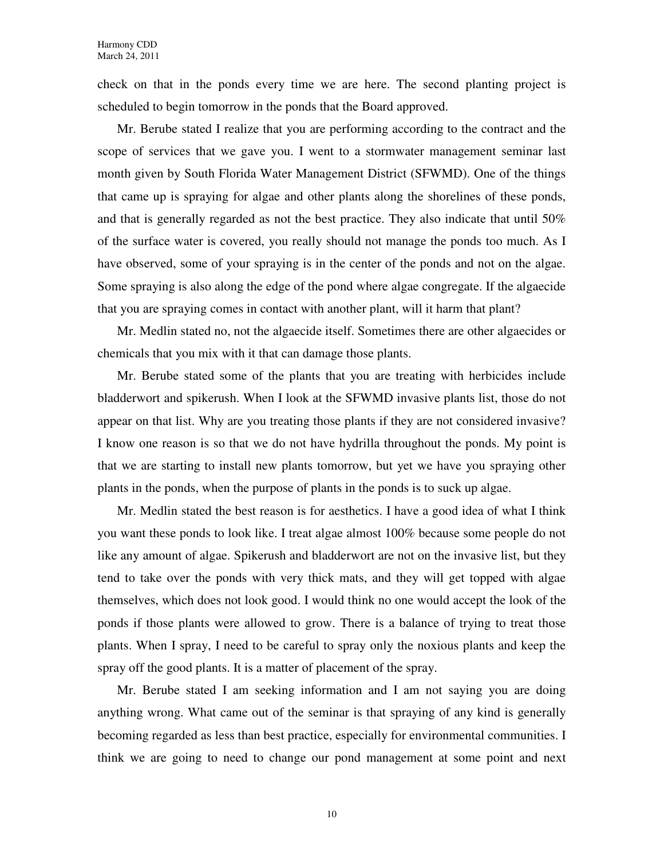check on that in the ponds every time we are here. The second planting project is scheduled to begin tomorrow in the ponds that the Board approved.

Mr. Berube stated I realize that you are performing according to the contract and the scope of services that we gave you. I went to a stormwater management seminar last month given by South Florida Water Management District (SFWMD). One of the things that came up is spraying for algae and other plants along the shorelines of these ponds, and that is generally regarded as not the best practice. They also indicate that until 50% of the surface water is covered, you really should not manage the ponds too much. As I have observed, some of your spraying is in the center of the ponds and not on the algae. Some spraying is also along the edge of the pond where algae congregate. If the algaecide that you are spraying comes in contact with another plant, will it harm that plant?

Mr. Medlin stated no, not the algaecide itself. Sometimes there are other algaecides or chemicals that you mix with it that can damage those plants.

Mr. Berube stated some of the plants that you are treating with herbicides include bladderwort and spikerush. When I look at the SFWMD invasive plants list, those do not appear on that list. Why are you treating those plants if they are not considered invasive? I know one reason is so that we do not have hydrilla throughout the ponds. My point is that we are starting to install new plants tomorrow, but yet we have you spraying other plants in the ponds, when the purpose of plants in the ponds is to suck up algae.

Mr. Medlin stated the best reason is for aesthetics. I have a good idea of what I think you want these ponds to look like. I treat algae almost 100% because some people do not like any amount of algae. Spikerush and bladderwort are not on the invasive list, but they tend to take over the ponds with very thick mats, and they will get topped with algae themselves, which does not look good. I would think no one would accept the look of the ponds if those plants were allowed to grow. There is a balance of trying to treat those plants. When I spray, I need to be careful to spray only the noxious plants and keep the spray off the good plants. It is a matter of placement of the spray.

Mr. Berube stated I am seeking information and I am not saying you are doing anything wrong. What came out of the seminar is that spraying of any kind is generally becoming regarded as less than best practice, especially for environmental communities. I think we are going to need to change our pond management at some point and next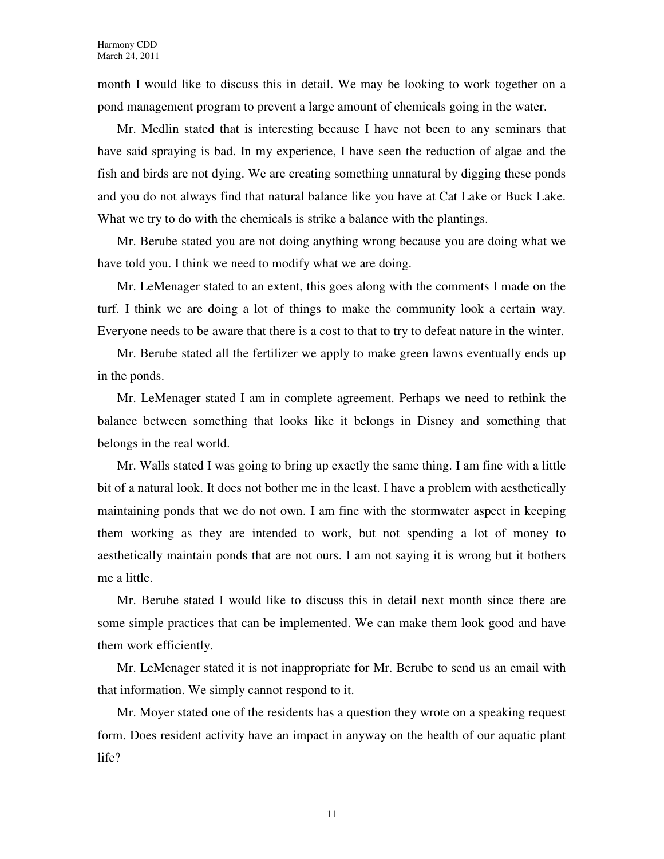month I would like to discuss this in detail. We may be looking to work together on a pond management program to prevent a large amount of chemicals going in the water.

Mr. Medlin stated that is interesting because I have not been to any seminars that have said spraying is bad. In my experience, I have seen the reduction of algae and the fish and birds are not dying. We are creating something unnatural by digging these ponds and you do not always find that natural balance like you have at Cat Lake or Buck Lake. What we try to do with the chemicals is strike a balance with the plantings.

Mr. Berube stated you are not doing anything wrong because you are doing what we have told you. I think we need to modify what we are doing.

Mr. LeMenager stated to an extent, this goes along with the comments I made on the turf. I think we are doing a lot of things to make the community look a certain way. Everyone needs to be aware that there is a cost to that to try to defeat nature in the winter.

Mr. Berube stated all the fertilizer we apply to make green lawns eventually ends up in the ponds.

Mr. LeMenager stated I am in complete agreement. Perhaps we need to rethink the balance between something that looks like it belongs in Disney and something that belongs in the real world.

Mr. Walls stated I was going to bring up exactly the same thing. I am fine with a little bit of a natural look. It does not bother me in the least. I have a problem with aesthetically maintaining ponds that we do not own. I am fine with the stormwater aspect in keeping them working as they are intended to work, but not spending a lot of money to aesthetically maintain ponds that are not ours. I am not saying it is wrong but it bothers me a little.

Mr. Berube stated I would like to discuss this in detail next month since there are some simple practices that can be implemented. We can make them look good and have them work efficiently.

Mr. LeMenager stated it is not inappropriate for Mr. Berube to send us an email with that information. We simply cannot respond to it.

Mr. Moyer stated one of the residents has a question they wrote on a speaking request form. Does resident activity have an impact in anyway on the health of our aquatic plant life?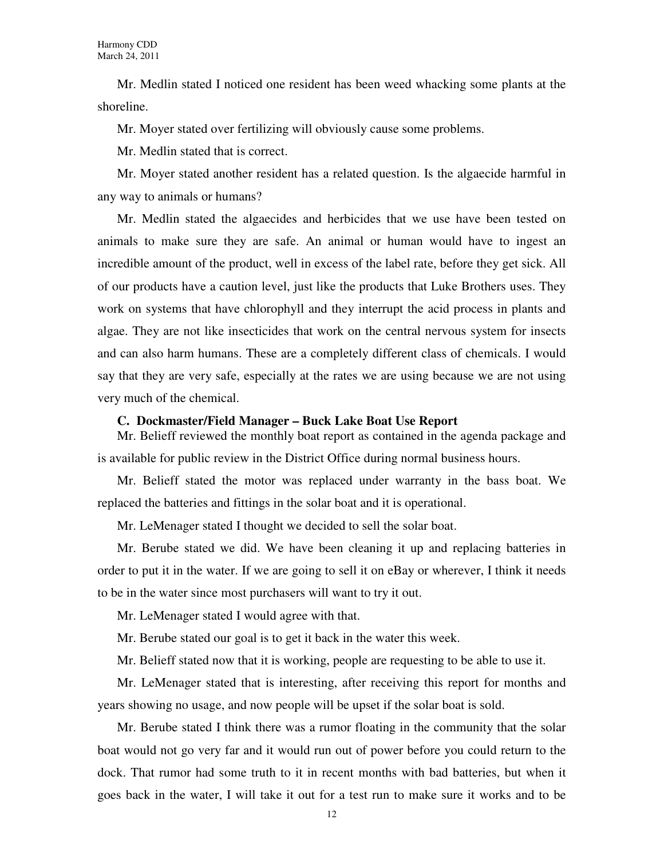Mr. Medlin stated I noticed one resident has been weed whacking some plants at the shoreline.

Mr. Moyer stated over fertilizing will obviously cause some problems.

Mr. Medlin stated that is correct.

Mr. Moyer stated another resident has a related question. Is the algaecide harmful in any way to animals or humans?

Mr. Medlin stated the algaecides and herbicides that we use have been tested on animals to make sure they are safe. An animal or human would have to ingest an incredible amount of the product, well in excess of the label rate, before they get sick. All of our products have a caution level, just like the products that Luke Brothers uses. They work on systems that have chlorophyll and they interrupt the acid process in plants and algae. They are not like insecticides that work on the central nervous system for insects and can also harm humans. These are a completely different class of chemicals. I would say that they are very safe, especially at the rates we are using because we are not using very much of the chemical.

#### **C. Dockmaster/Field Manager – Buck Lake Boat Use Report**

Mr. Belieff reviewed the monthly boat report as contained in the agenda package and is available for public review in the District Office during normal business hours.

Mr. Belieff stated the motor was replaced under warranty in the bass boat. We replaced the batteries and fittings in the solar boat and it is operational.

Mr. LeMenager stated I thought we decided to sell the solar boat.

Mr. Berube stated we did. We have been cleaning it up and replacing batteries in order to put it in the water. If we are going to sell it on eBay or wherever, I think it needs to be in the water since most purchasers will want to try it out.

Mr. LeMenager stated I would agree with that.

Mr. Berube stated our goal is to get it back in the water this week.

Mr. Belieff stated now that it is working, people are requesting to be able to use it.

Mr. LeMenager stated that is interesting, after receiving this report for months and years showing no usage, and now people will be upset if the solar boat is sold.

Mr. Berube stated I think there was a rumor floating in the community that the solar boat would not go very far and it would run out of power before you could return to the dock. That rumor had some truth to it in recent months with bad batteries, but when it goes back in the water, I will take it out for a test run to make sure it works and to be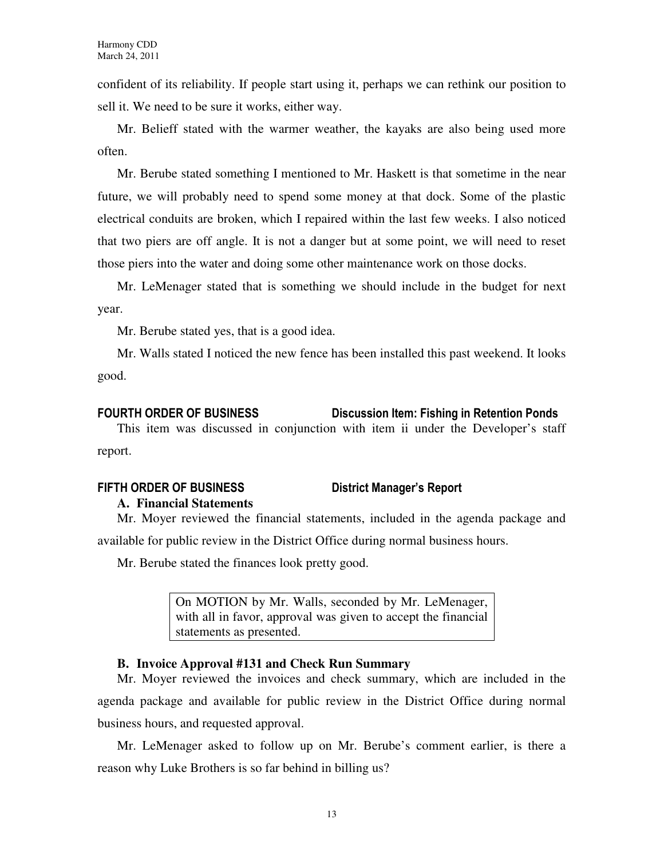confident of its reliability. If people start using it, perhaps we can rethink our position to sell it. We need to be sure it works, either way.

Mr. Belieff stated with the warmer weather, the kayaks are also being used more often.

Mr. Berube stated something I mentioned to Mr. Haskett is that sometime in the near future, we will probably need to spend some money at that dock. Some of the plastic electrical conduits are broken, which I repaired within the last few weeks. I also noticed that two piers are off angle. It is not a danger but at some point, we will need to reset those piers into the water and doing some other maintenance work on those docks.

Mr. LeMenager stated that is something we should include in the budget for next year.

Mr. Berube stated yes, that is a good idea.

Mr. Walls stated I noticed the new fence has been installed this past weekend. It looks good.

## FOURTH ORDER OF BUSINESS Discussion Item: Fishing in Retention Ponds

This item was discussed in conjunction with item ii under the Developer's staff report.

## FIFTH ORDER OF BUSINESS District Manager's Report **A. Financial Statements**

Mr. Moyer reviewed the financial statements, included in the agenda package and available for public review in the District Office during normal business hours.

Mr. Berube stated the finances look pretty good.

On MOTION by Mr. Walls, seconded by Mr. LeMenager, with all in favor, approval was given to accept the financial statements as presented.

## **B. Invoice Approval #131 and Check Run Summary**

Mr. Moyer reviewed the invoices and check summary, which are included in the agenda package and available for public review in the District Office during normal business hours, and requested approval.

Mr. LeMenager asked to follow up on Mr. Berube's comment earlier, is there a reason why Luke Brothers is so far behind in billing us?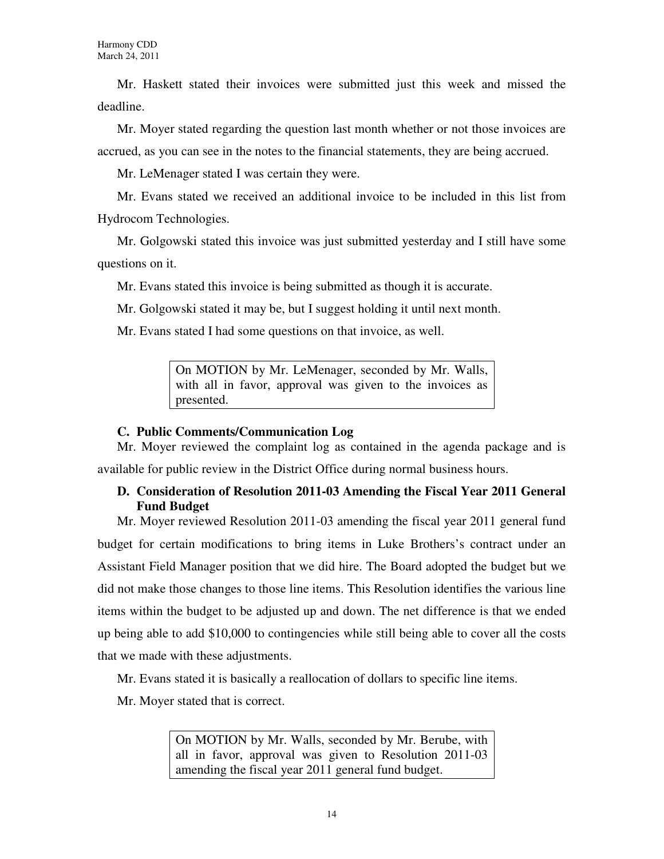Mr. Haskett stated their invoices were submitted just this week and missed the deadline.

Mr. Moyer stated regarding the question last month whether or not those invoices are accrued, as you can see in the notes to the financial statements, they are being accrued.

Mr. LeMenager stated I was certain they were.

Mr. Evans stated we received an additional invoice to be included in this list from Hydrocom Technologies.

Mr. Golgowski stated this invoice was just submitted yesterday and I still have some questions on it.

Mr. Evans stated this invoice is being submitted as though it is accurate.

Mr. Golgowski stated it may be, but I suggest holding it until next month.

Mr. Evans stated I had some questions on that invoice, as well.

On MOTION by Mr. LeMenager, seconded by Mr. Walls, with all in favor, approval was given to the invoices as presented.

## **C. Public Comments/Communication Log**

Mr. Moyer reviewed the complaint log as contained in the agenda package and is available for public review in the District Office during normal business hours.

## **D. Consideration of Resolution 2011-03 Amending the Fiscal Year 2011 General Fund Budget**

Mr. Moyer reviewed Resolution 2011-03 amending the fiscal year 2011 general fund budget for certain modifications to bring items in Luke Brothers's contract under an Assistant Field Manager position that we did hire. The Board adopted the budget but we did not make those changes to those line items. This Resolution identifies the various line items within the budget to be adjusted up and down. The net difference is that we ended up being able to add \$10,000 to contingencies while still being able to cover all the costs that we made with these adjustments.

Mr. Evans stated it is basically a reallocation of dollars to specific line items.

Mr. Moyer stated that is correct.

On MOTION by Mr. Walls, seconded by Mr. Berube, with all in favor, approval was given to Resolution 2011-03 amending the fiscal year 2011 general fund budget.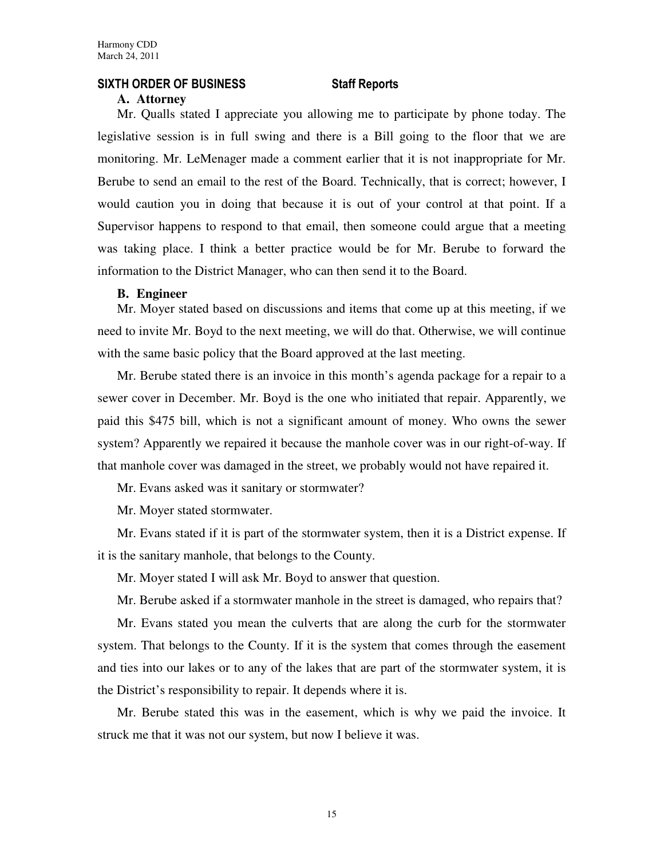### SIXTH ORDER OF BUSINESS Staff Reports

#### **A. Attorney**

Mr. Qualls stated I appreciate you allowing me to participate by phone today. The legislative session is in full swing and there is a Bill going to the floor that we are monitoring. Mr. LeMenager made a comment earlier that it is not inappropriate for Mr. Berube to send an email to the rest of the Board. Technically, that is correct; however, I would caution you in doing that because it is out of your control at that point. If a Supervisor happens to respond to that email, then someone could argue that a meeting was taking place. I think a better practice would be for Mr. Berube to forward the information to the District Manager, who can then send it to the Board.

#### **B. Engineer**

Mr. Moyer stated based on discussions and items that come up at this meeting, if we need to invite Mr. Boyd to the next meeting, we will do that. Otherwise, we will continue with the same basic policy that the Board approved at the last meeting.

Mr. Berube stated there is an invoice in this month's agenda package for a repair to a sewer cover in December. Mr. Boyd is the one who initiated that repair. Apparently, we paid this \$475 bill, which is not a significant amount of money. Who owns the sewer system? Apparently we repaired it because the manhole cover was in our right-of-way. If that manhole cover was damaged in the street, we probably would not have repaired it.

Mr. Evans asked was it sanitary or stormwater?

Mr. Moyer stated stormwater.

Mr. Evans stated if it is part of the stormwater system, then it is a District expense. If it is the sanitary manhole, that belongs to the County.

Mr. Moyer stated I will ask Mr. Boyd to answer that question.

Mr. Berube asked if a stormwater manhole in the street is damaged, who repairs that?

Mr. Evans stated you mean the culverts that are along the curb for the stormwater system. That belongs to the County. If it is the system that comes through the easement and ties into our lakes or to any of the lakes that are part of the stormwater system, it is the District's responsibility to repair. It depends where it is.

Mr. Berube stated this was in the easement, which is why we paid the invoice. It struck me that it was not our system, but now I believe it was.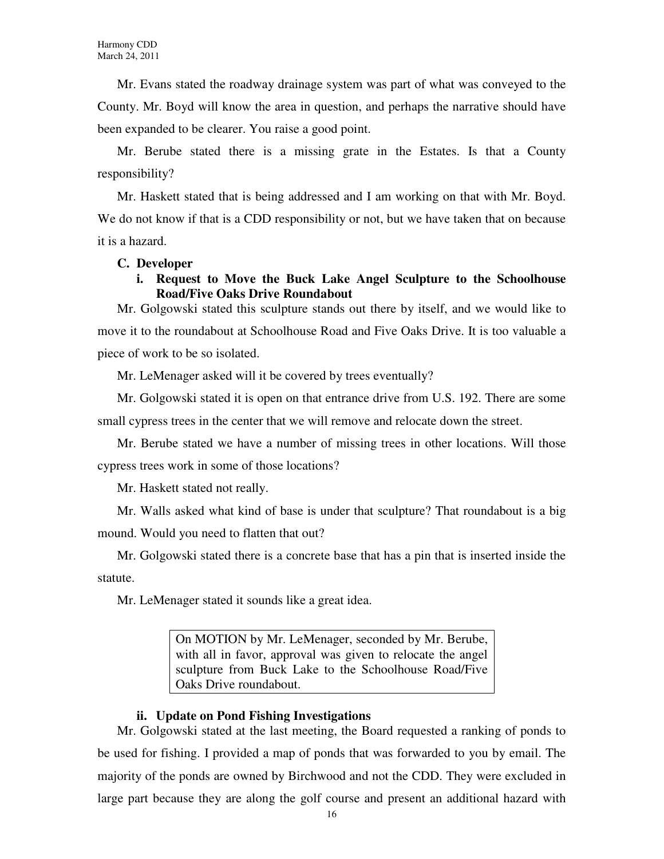Mr. Evans stated the roadway drainage system was part of what was conveyed to the County. Mr. Boyd will know the area in question, and perhaps the narrative should have been expanded to be clearer. You raise a good point.

Mr. Berube stated there is a missing grate in the Estates. Is that a County responsibility?

Mr. Haskett stated that is being addressed and I am working on that with Mr. Boyd. We do not know if that is a CDD responsibility or not, but we have taken that on because it is a hazard.

### **C. Developer**

## **i. Request to Move the Buck Lake Angel Sculpture to the Schoolhouse Road/Five Oaks Drive Roundabout**

Mr. Golgowski stated this sculpture stands out there by itself, and we would like to move it to the roundabout at Schoolhouse Road and Five Oaks Drive. It is too valuable a piece of work to be so isolated.

Mr. LeMenager asked will it be covered by trees eventually?

Mr. Golgowski stated it is open on that entrance drive from U.S. 192. There are some small cypress trees in the center that we will remove and relocate down the street.

Mr. Berube stated we have a number of missing trees in other locations. Will those cypress trees work in some of those locations?

Mr. Haskett stated not really.

Mr. Walls asked what kind of base is under that sculpture? That roundabout is a big mound. Would you need to flatten that out?

Mr. Golgowski stated there is a concrete base that has a pin that is inserted inside the statute.

Mr. LeMenager stated it sounds like a great idea.

On MOTION by Mr. LeMenager, seconded by Mr. Berube, with all in favor, approval was given to relocate the angel sculpture from Buck Lake to the Schoolhouse Road/Five Oaks Drive roundabout.

#### **ii. Update on Pond Fishing Investigations**

Mr. Golgowski stated at the last meeting, the Board requested a ranking of ponds to be used for fishing. I provided a map of ponds that was forwarded to you by email. The majority of the ponds are owned by Birchwood and not the CDD. They were excluded in large part because they are along the golf course and present an additional hazard with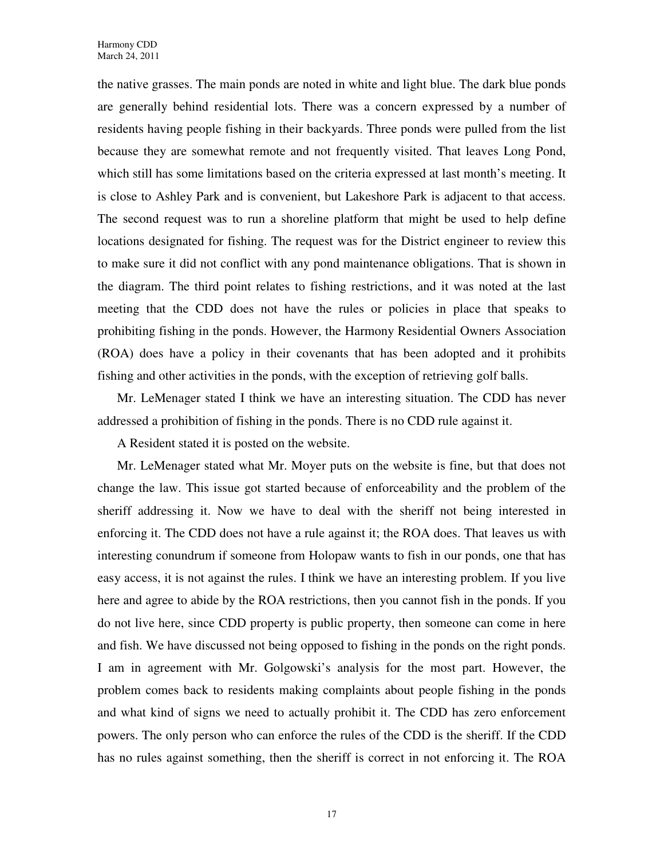the native grasses. The main ponds are noted in white and light blue. The dark blue ponds are generally behind residential lots. There was a concern expressed by a number of residents having people fishing in their backyards. Three ponds were pulled from the list because they are somewhat remote and not frequently visited. That leaves Long Pond, which still has some limitations based on the criteria expressed at last month's meeting. It is close to Ashley Park and is convenient, but Lakeshore Park is adjacent to that access. The second request was to run a shoreline platform that might be used to help define locations designated for fishing. The request was for the District engineer to review this to make sure it did not conflict with any pond maintenance obligations. That is shown in the diagram. The third point relates to fishing restrictions, and it was noted at the last meeting that the CDD does not have the rules or policies in place that speaks to prohibiting fishing in the ponds. However, the Harmony Residential Owners Association (ROA) does have a policy in their covenants that has been adopted and it prohibits fishing and other activities in the ponds, with the exception of retrieving golf balls.

Mr. LeMenager stated I think we have an interesting situation. The CDD has never addressed a prohibition of fishing in the ponds. There is no CDD rule against it.

A Resident stated it is posted on the website.

Mr. LeMenager stated what Mr. Moyer puts on the website is fine, but that does not change the law. This issue got started because of enforceability and the problem of the sheriff addressing it. Now we have to deal with the sheriff not being interested in enforcing it. The CDD does not have a rule against it; the ROA does. That leaves us with interesting conundrum if someone from Holopaw wants to fish in our ponds, one that has easy access, it is not against the rules. I think we have an interesting problem. If you live here and agree to abide by the ROA restrictions, then you cannot fish in the ponds. If you do not live here, since CDD property is public property, then someone can come in here and fish. We have discussed not being opposed to fishing in the ponds on the right ponds. I am in agreement with Mr. Golgowski's analysis for the most part. However, the problem comes back to residents making complaints about people fishing in the ponds and what kind of signs we need to actually prohibit it. The CDD has zero enforcement powers. The only person who can enforce the rules of the CDD is the sheriff. If the CDD has no rules against something, then the sheriff is correct in not enforcing it. The ROA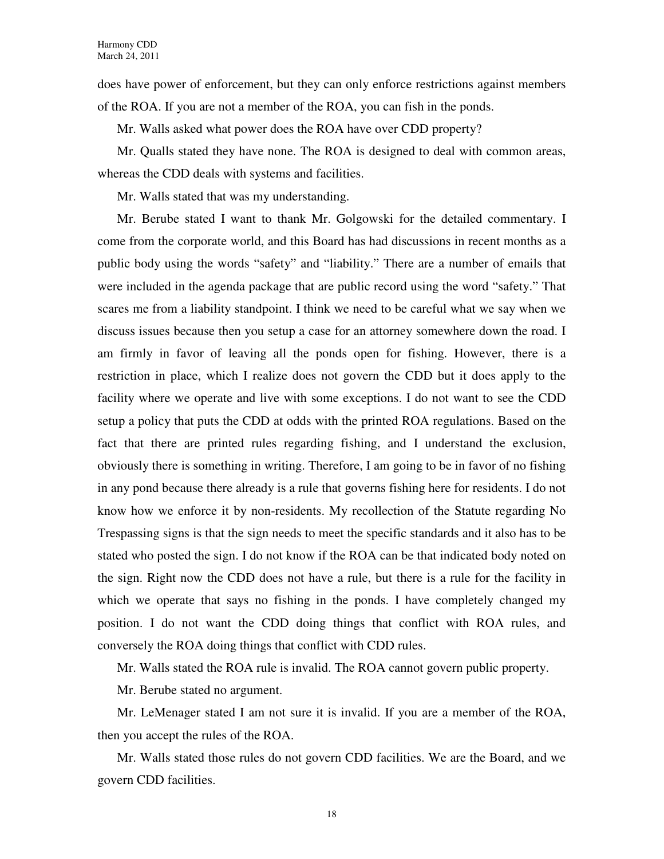does have power of enforcement, but they can only enforce restrictions against members of the ROA. If you are not a member of the ROA, you can fish in the ponds.

Mr. Walls asked what power does the ROA have over CDD property?

Mr. Qualls stated they have none. The ROA is designed to deal with common areas, whereas the CDD deals with systems and facilities.

Mr. Walls stated that was my understanding.

Mr. Berube stated I want to thank Mr. Golgowski for the detailed commentary. I come from the corporate world, and this Board has had discussions in recent months as a public body using the words "safety" and "liability." There are a number of emails that were included in the agenda package that are public record using the word "safety." That scares me from a liability standpoint. I think we need to be careful what we say when we discuss issues because then you setup a case for an attorney somewhere down the road. I am firmly in favor of leaving all the ponds open for fishing. However, there is a restriction in place, which I realize does not govern the CDD but it does apply to the facility where we operate and live with some exceptions. I do not want to see the CDD setup a policy that puts the CDD at odds with the printed ROA regulations. Based on the fact that there are printed rules regarding fishing, and I understand the exclusion, obviously there is something in writing. Therefore, I am going to be in favor of no fishing in any pond because there already is a rule that governs fishing here for residents. I do not know how we enforce it by non-residents. My recollection of the Statute regarding No Trespassing signs is that the sign needs to meet the specific standards and it also has to be stated who posted the sign. I do not know if the ROA can be that indicated body noted on the sign. Right now the CDD does not have a rule, but there is a rule for the facility in which we operate that says no fishing in the ponds. I have completely changed my position. I do not want the CDD doing things that conflict with ROA rules, and conversely the ROA doing things that conflict with CDD rules.

Mr. Walls stated the ROA rule is invalid. The ROA cannot govern public property.

Mr. Berube stated no argument.

Mr. LeMenager stated I am not sure it is invalid. If you are a member of the ROA, then you accept the rules of the ROA.

Mr. Walls stated those rules do not govern CDD facilities. We are the Board, and we govern CDD facilities.

18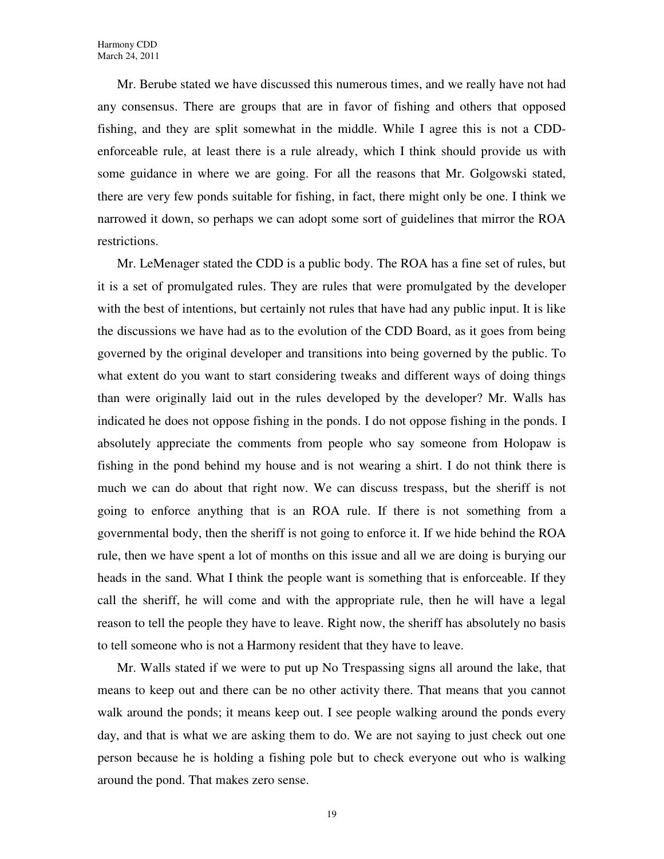Mr. Berube stated we have discussed this numerous times, and we really have not had any consensus. There are groups that are in favor of fishing and others that opposed fishing, and they are split somewhat in the middle. While I agree this is not a CDDenforceable rule, at least there is a rule already, which I think should provide us with some guidance in where we are going. For all the reasons that Mr. Golgowski stated, there are very few ponds suitable for fishing, in fact, there might only be one. I think we narrowed it down, so perhaps we can adopt some sort of guidelines that mirror the ROA restrictions.

Mr. LeMenager stated the CDD is a public body. The ROA has a fine set of rules, but it is a set of promulgated rules. They are rules that were promulgated by the developer with the best of intentions, but certainly not rules that have had any public input. It is like the discussions we have had as to the evolution of the CDD Board, as it goes from being governed by the original developer and transitions into being governed by the public. To what extent do you want to start considering tweaks and different ways of doing things than were originally laid out in the rules developed by the developer? Mr. Walls has indicated he does not oppose fishing in the ponds. I do not oppose fishing in the ponds. I absolutely appreciate the comments from people who say someone from Holopaw is fishing in the pond behind my house and is not wearing a shirt. I do not think there is much we can do about that right now. We can discuss trespass, but the sheriff is not going to enforce anything that is an ROA rule. If there is not something from a governmental body, then the sheriff is not going to enforce it. If we hide behind the ROA rule, then we have spent a lot of months on this issue and all we are doing is burying our heads in the sand. What I think the people want is something that is enforceable. If they call the sheriff, he will come and with the appropriate rule, then he will have a legal reason to tell the people they have to leave. Right now, the sheriff has absolutely no basis to tell someone who is not a Harmony resident that they have to leave.

Mr. Walls stated if we were to put up No Trespassing signs all around the lake, that means to keep out and there can be no other activity there. That means that you cannot walk around the ponds; it means keep out. I see people walking around the ponds every day, and that is what we are asking them to do. We are not saying to just check out one person because he is holding a fishing pole but to check everyone out who is walking around the pond. That makes zero sense.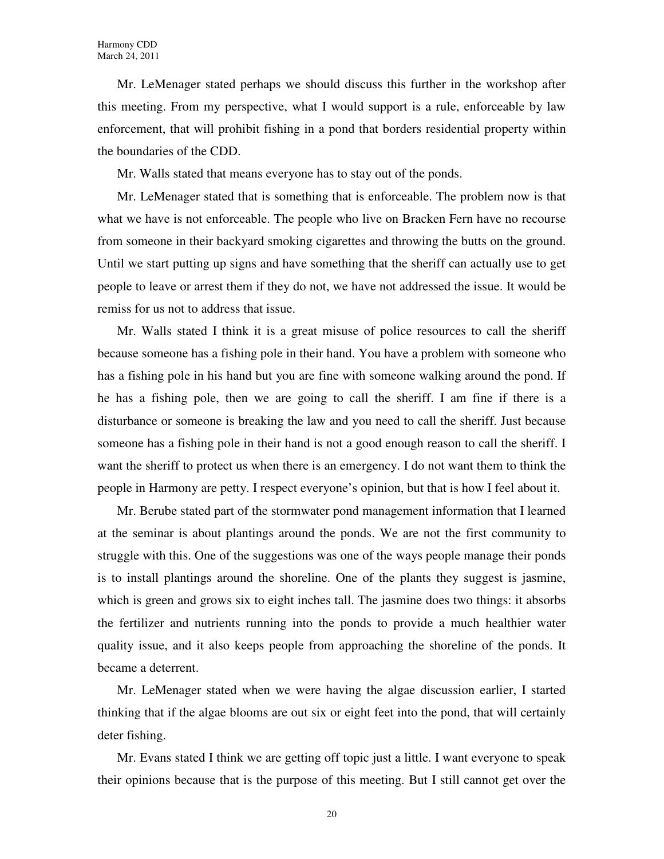Mr. LeMenager stated perhaps we should discuss this further in the workshop after this meeting. From my perspective, what I would support is a rule, enforceable by law enforcement, that will prohibit fishing in a pond that borders residential property within the boundaries of the CDD.

Mr. Walls stated that means everyone has to stay out of the ponds.

Mr. LeMenager stated that is something that is enforceable. The problem now is that what we have is not enforceable. The people who live on Bracken Fern have no recourse from someone in their backyard smoking cigarettes and throwing the butts on the ground. Until we start putting up signs and have something that the sheriff can actually use to get people to leave or arrest them if they do not, we have not addressed the issue. It would be remiss for us not to address that issue.

Mr. Walls stated I think it is a great misuse of police resources to call the sheriff because someone has a fishing pole in their hand. You have a problem with someone who has a fishing pole in his hand but you are fine with someone walking around the pond. If he has a fishing pole, then we are going to call the sheriff. I am fine if there is a disturbance or someone is breaking the law and you need to call the sheriff. Just because someone has a fishing pole in their hand is not a good enough reason to call the sheriff. I want the sheriff to protect us when there is an emergency. I do not want them to think the people in Harmony are petty. I respect everyone's opinion, but that is how I feel about it.

Mr. Berube stated part of the stormwater pond management information that I learned at the seminar is about plantings around the ponds. We are not the first community to struggle with this. One of the suggestions was one of the ways people manage their ponds is to install plantings around the shoreline. One of the plants they suggest is jasmine, which is green and grows six to eight inches tall. The jasmine does two things: it absorbs the fertilizer and nutrients running into the ponds to provide a much healthier water quality issue, and it also keeps people from approaching the shoreline of the ponds. It became a deterrent.

Mr. LeMenager stated when we were having the algae discussion earlier, I started thinking that if the algae blooms are out six or eight feet into the pond, that will certainly deter fishing.

Mr. Evans stated I think we are getting off topic just a little. I want everyone to speak their opinions because that is the purpose of this meeting. But I still cannot get over the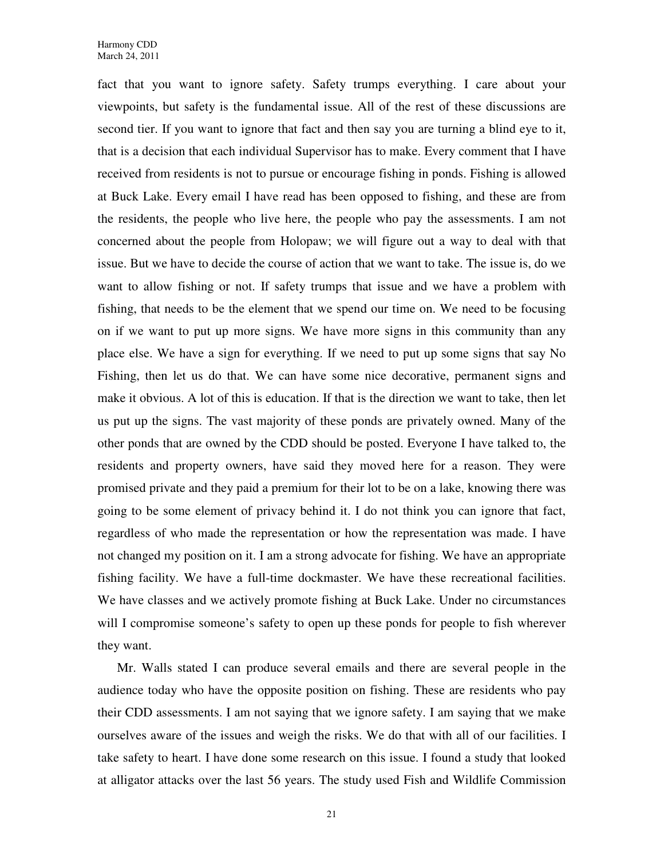fact that you want to ignore safety. Safety trumps everything. I care about your viewpoints, but safety is the fundamental issue. All of the rest of these discussions are second tier. If you want to ignore that fact and then say you are turning a blind eye to it, that is a decision that each individual Supervisor has to make. Every comment that I have received from residents is not to pursue or encourage fishing in ponds. Fishing is allowed at Buck Lake. Every email I have read has been opposed to fishing, and these are from the residents, the people who live here, the people who pay the assessments. I am not concerned about the people from Holopaw; we will figure out a way to deal with that issue. But we have to decide the course of action that we want to take. The issue is, do we want to allow fishing or not. If safety trumps that issue and we have a problem with fishing, that needs to be the element that we spend our time on. We need to be focusing on if we want to put up more signs. We have more signs in this community than any place else. We have a sign for everything. If we need to put up some signs that say No Fishing, then let us do that. We can have some nice decorative, permanent signs and make it obvious. A lot of this is education. If that is the direction we want to take, then let us put up the signs. The vast majority of these ponds are privately owned. Many of the other ponds that are owned by the CDD should be posted. Everyone I have talked to, the residents and property owners, have said they moved here for a reason. They were promised private and they paid a premium for their lot to be on a lake, knowing there was going to be some element of privacy behind it. I do not think you can ignore that fact, regardless of who made the representation or how the representation was made. I have not changed my position on it. I am a strong advocate for fishing. We have an appropriate fishing facility. We have a full-time dockmaster. We have these recreational facilities. We have classes and we actively promote fishing at Buck Lake. Under no circumstances will I compromise someone's safety to open up these ponds for people to fish wherever they want.

Mr. Walls stated I can produce several emails and there are several people in the audience today who have the opposite position on fishing. These are residents who pay their CDD assessments. I am not saying that we ignore safety. I am saying that we make ourselves aware of the issues and weigh the risks. We do that with all of our facilities. I take safety to heart. I have done some research on this issue. I found a study that looked at alligator attacks over the last 56 years. The study used Fish and Wildlife Commission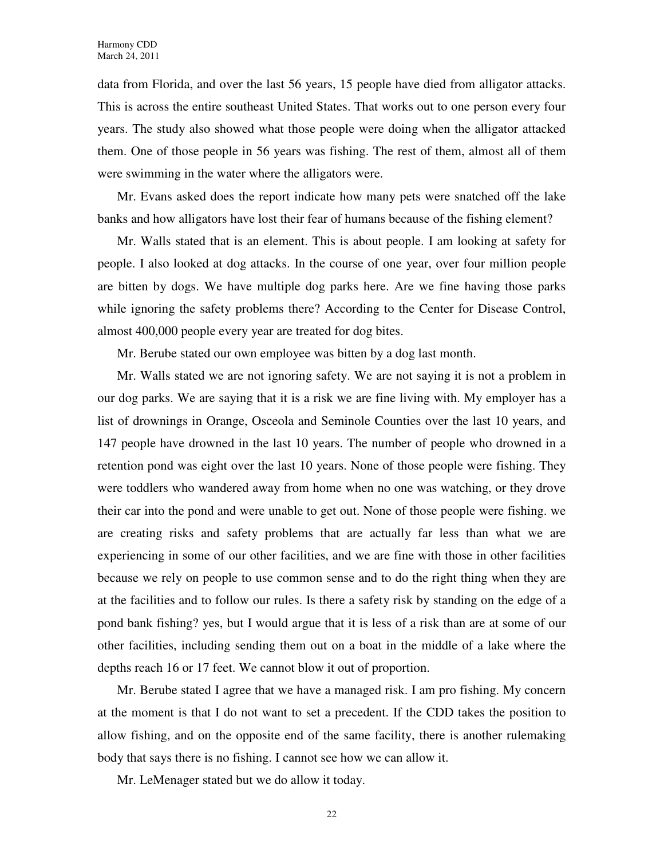data from Florida, and over the last 56 years, 15 people have died from alligator attacks. This is across the entire southeast United States. That works out to one person every four years. The study also showed what those people were doing when the alligator attacked them. One of those people in 56 years was fishing. The rest of them, almost all of them were swimming in the water where the alligators were.

Mr. Evans asked does the report indicate how many pets were snatched off the lake banks and how alligators have lost their fear of humans because of the fishing element?

Mr. Walls stated that is an element. This is about people. I am looking at safety for people. I also looked at dog attacks. In the course of one year, over four million people are bitten by dogs. We have multiple dog parks here. Are we fine having those parks while ignoring the safety problems there? According to the Center for Disease Control, almost 400,000 people every year are treated for dog bites.

Mr. Berube stated our own employee was bitten by a dog last month.

Mr. Walls stated we are not ignoring safety. We are not saying it is not a problem in our dog parks. We are saying that it is a risk we are fine living with. My employer has a list of drownings in Orange, Osceola and Seminole Counties over the last 10 years, and 147 people have drowned in the last 10 years. The number of people who drowned in a retention pond was eight over the last 10 years. None of those people were fishing. They were toddlers who wandered away from home when no one was watching, or they drove their car into the pond and were unable to get out. None of those people were fishing. we are creating risks and safety problems that are actually far less than what we are experiencing in some of our other facilities, and we are fine with those in other facilities because we rely on people to use common sense and to do the right thing when they are at the facilities and to follow our rules. Is there a safety risk by standing on the edge of a pond bank fishing? yes, but I would argue that it is less of a risk than are at some of our other facilities, including sending them out on a boat in the middle of a lake where the depths reach 16 or 17 feet. We cannot blow it out of proportion.

Mr. Berube stated I agree that we have a managed risk. I am pro fishing. My concern at the moment is that I do not want to set a precedent. If the CDD takes the position to allow fishing, and on the opposite end of the same facility, there is another rulemaking body that says there is no fishing. I cannot see how we can allow it.

Mr. LeMenager stated but we do allow it today.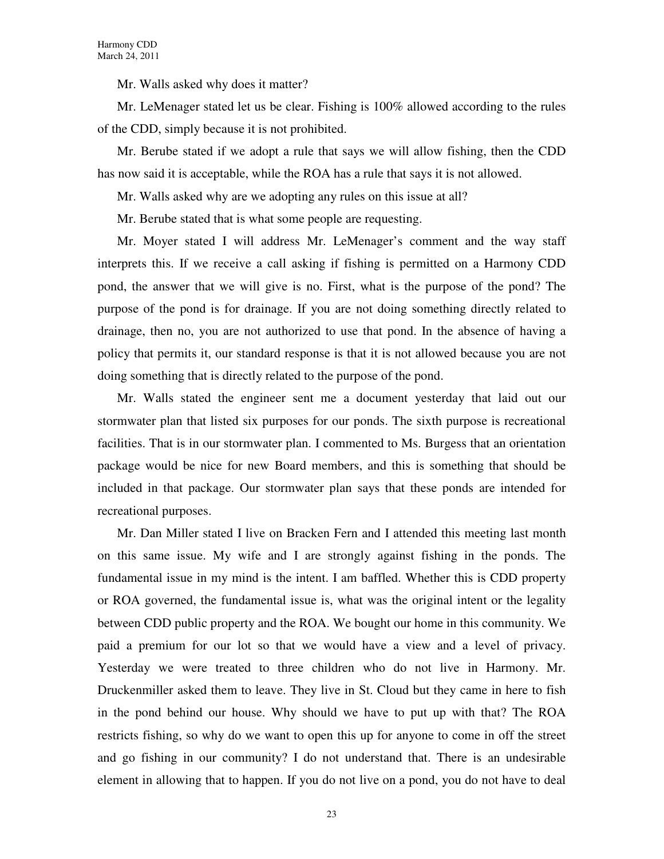Mr. Walls asked why does it matter?

Mr. LeMenager stated let us be clear. Fishing is 100% allowed according to the rules of the CDD, simply because it is not prohibited.

Mr. Berube stated if we adopt a rule that says we will allow fishing, then the CDD has now said it is acceptable, while the ROA has a rule that says it is not allowed.

Mr. Walls asked why are we adopting any rules on this issue at all?

Mr. Berube stated that is what some people are requesting.

Mr. Moyer stated I will address Mr. LeMenager's comment and the way staff interprets this. If we receive a call asking if fishing is permitted on a Harmony CDD pond, the answer that we will give is no. First, what is the purpose of the pond? The purpose of the pond is for drainage. If you are not doing something directly related to drainage, then no, you are not authorized to use that pond. In the absence of having a policy that permits it, our standard response is that it is not allowed because you are not doing something that is directly related to the purpose of the pond.

Mr. Walls stated the engineer sent me a document yesterday that laid out our stormwater plan that listed six purposes for our ponds. The sixth purpose is recreational facilities. That is in our stormwater plan. I commented to Ms. Burgess that an orientation package would be nice for new Board members, and this is something that should be included in that package. Our stormwater plan says that these ponds are intended for recreational purposes.

Mr. Dan Miller stated I live on Bracken Fern and I attended this meeting last month on this same issue. My wife and I are strongly against fishing in the ponds. The fundamental issue in my mind is the intent. I am baffled. Whether this is CDD property or ROA governed, the fundamental issue is, what was the original intent or the legality between CDD public property and the ROA. We bought our home in this community. We paid a premium for our lot so that we would have a view and a level of privacy. Yesterday we were treated to three children who do not live in Harmony. Mr. Druckenmiller asked them to leave. They live in St. Cloud but they came in here to fish in the pond behind our house. Why should we have to put up with that? The ROA restricts fishing, so why do we want to open this up for anyone to come in off the street and go fishing in our community? I do not understand that. There is an undesirable element in allowing that to happen. If you do not live on a pond, you do not have to deal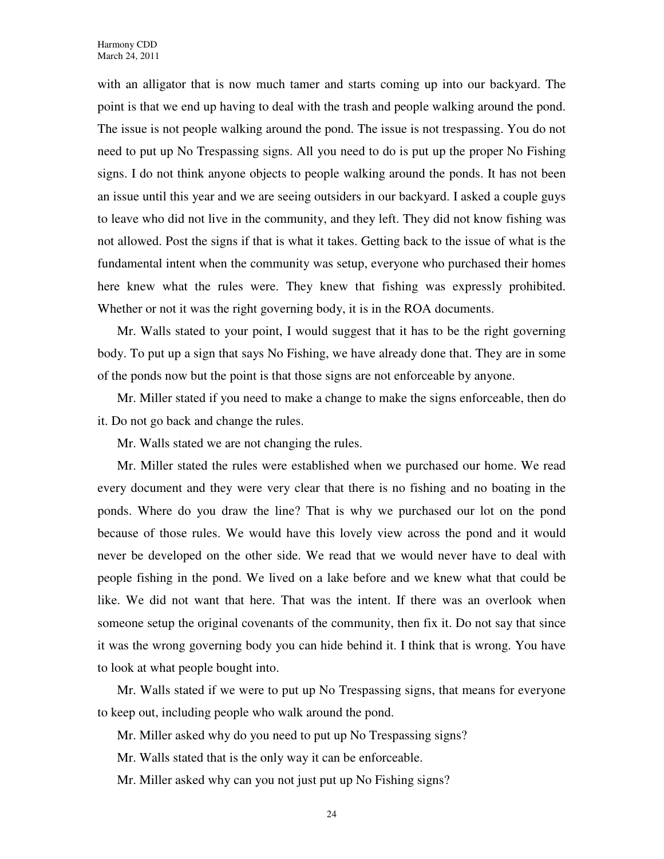with an alligator that is now much tamer and starts coming up into our backyard. The point is that we end up having to deal with the trash and people walking around the pond. The issue is not people walking around the pond. The issue is not trespassing. You do not need to put up No Trespassing signs. All you need to do is put up the proper No Fishing signs. I do not think anyone objects to people walking around the ponds. It has not been an issue until this year and we are seeing outsiders in our backyard. I asked a couple guys to leave who did not live in the community, and they left. They did not know fishing was not allowed. Post the signs if that is what it takes. Getting back to the issue of what is the fundamental intent when the community was setup, everyone who purchased their homes here knew what the rules were. They knew that fishing was expressly prohibited. Whether or not it was the right governing body, it is in the ROA documents.

Mr. Walls stated to your point, I would suggest that it has to be the right governing body. To put up a sign that says No Fishing, we have already done that. They are in some of the ponds now but the point is that those signs are not enforceable by anyone.

Mr. Miller stated if you need to make a change to make the signs enforceable, then do it. Do not go back and change the rules.

Mr. Walls stated we are not changing the rules.

Mr. Miller stated the rules were established when we purchased our home. We read every document and they were very clear that there is no fishing and no boating in the ponds. Where do you draw the line? That is why we purchased our lot on the pond because of those rules. We would have this lovely view across the pond and it would never be developed on the other side. We read that we would never have to deal with people fishing in the pond. We lived on a lake before and we knew what that could be like. We did not want that here. That was the intent. If there was an overlook when someone setup the original covenants of the community, then fix it. Do not say that since it was the wrong governing body you can hide behind it. I think that is wrong. You have to look at what people bought into.

Mr. Walls stated if we were to put up No Trespassing signs, that means for everyone to keep out, including people who walk around the pond.

Mr. Miller asked why do you need to put up No Trespassing signs?

Mr. Walls stated that is the only way it can be enforceable.

Mr. Miller asked why can you not just put up No Fishing signs?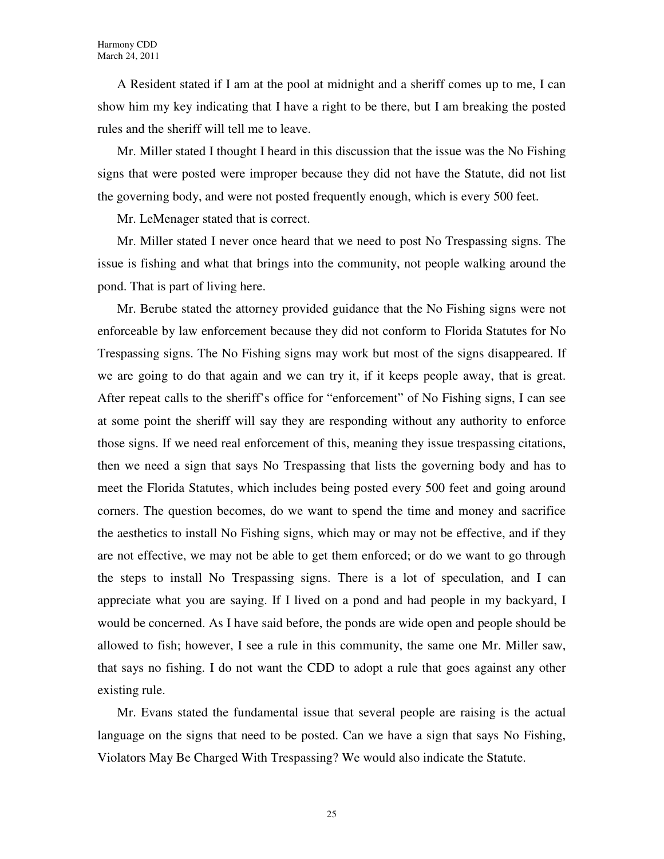A Resident stated if I am at the pool at midnight and a sheriff comes up to me, I can show him my key indicating that I have a right to be there, but I am breaking the posted rules and the sheriff will tell me to leave.

Mr. Miller stated I thought I heard in this discussion that the issue was the No Fishing signs that were posted were improper because they did not have the Statute, did not list the governing body, and were not posted frequently enough, which is every 500 feet.

Mr. LeMenager stated that is correct.

Mr. Miller stated I never once heard that we need to post No Trespassing signs. The issue is fishing and what that brings into the community, not people walking around the pond. That is part of living here.

Mr. Berube stated the attorney provided guidance that the No Fishing signs were not enforceable by law enforcement because they did not conform to Florida Statutes for No Trespassing signs. The No Fishing signs may work but most of the signs disappeared. If we are going to do that again and we can try it, if it keeps people away, that is great. After repeat calls to the sheriff's office for "enforcement" of No Fishing signs, I can see at some point the sheriff will say they are responding without any authority to enforce those signs. If we need real enforcement of this, meaning they issue trespassing citations, then we need a sign that says No Trespassing that lists the governing body and has to meet the Florida Statutes, which includes being posted every 500 feet and going around corners. The question becomes, do we want to spend the time and money and sacrifice the aesthetics to install No Fishing signs, which may or may not be effective, and if they are not effective, we may not be able to get them enforced; or do we want to go through the steps to install No Trespassing signs. There is a lot of speculation, and I can appreciate what you are saying. If I lived on a pond and had people in my backyard, I would be concerned. As I have said before, the ponds are wide open and people should be allowed to fish; however, I see a rule in this community, the same one Mr. Miller saw, that says no fishing. I do not want the CDD to adopt a rule that goes against any other existing rule.

Mr. Evans stated the fundamental issue that several people are raising is the actual language on the signs that need to be posted. Can we have a sign that says No Fishing, Violators May Be Charged With Trespassing? We would also indicate the Statute.

25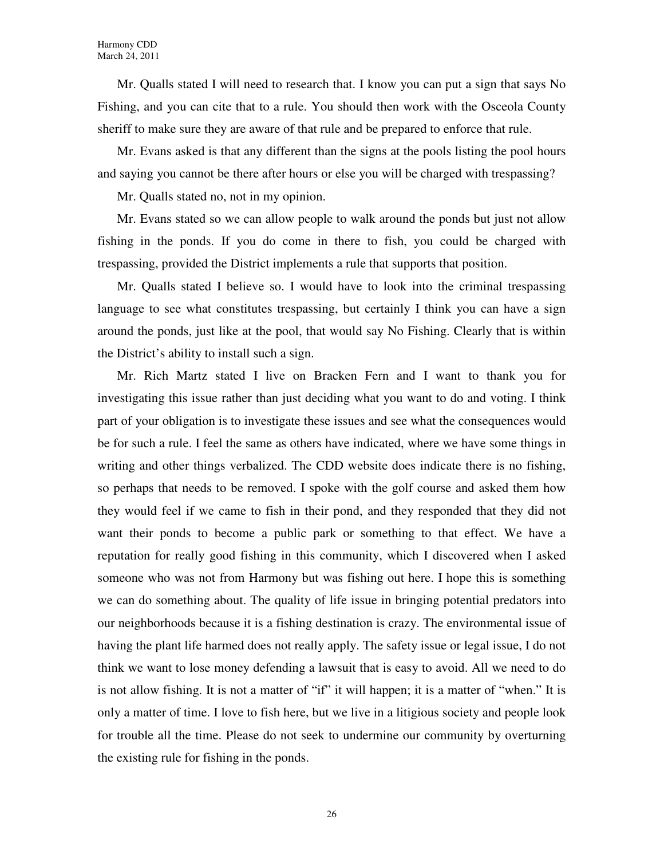Mr. Qualls stated I will need to research that. I know you can put a sign that says No Fishing, and you can cite that to a rule. You should then work with the Osceola County sheriff to make sure they are aware of that rule and be prepared to enforce that rule.

Mr. Evans asked is that any different than the signs at the pools listing the pool hours and saying you cannot be there after hours or else you will be charged with trespassing?

Mr. Qualls stated no, not in my opinion.

Mr. Evans stated so we can allow people to walk around the ponds but just not allow fishing in the ponds. If you do come in there to fish, you could be charged with trespassing, provided the District implements a rule that supports that position.

Mr. Qualls stated I believe so. I would have to look into the criminal trespassing language to see what constitutes trespassing, but certainly I think you can have a sign around the ponds, just like at the pool, that would say No Fishing. Clearly that is within the District's ability to install such a sign.

Mr. Rich Martz stated I live on Bracken Fern and I want to thank you for investigating this issue rather than just deciding what you want to do and voting. I think part of your obligation is to investigate these issues and see what the consequences would be for such a rule. I feel the same as others have indicated, where we have some things in writing and other things verbalized. The CDD website does indicate there is no fishing, so perhaps that needs to be removed. I spoke with the golf course and asked them how they would feel if we came to fish in their pond, and they responded that they did not want their ponds to become a public park or something to that effect. We have a reputation for really good fishing in this community, which I discovered when I asked someone who was not from Harmony but was fishing out here. I hope this is something we can do something about. The quality of life issue in bringing potential predators into our neighborhoods because it is a fishing destination is crazy. The environmental issue of having the plant life harmed does not really apply. The safety issue or legal issue, I do not think we want to lose money defending a lawsuit that is easy to avoid. All we need to do is not allow fishing. It is not a matter of "if" it will happen; it is a matter of "when." It is only a matter of time. I love to fish here, but we live in a litigious society and people look for trouble all the time. Please do not seek to undermine our community by overturning the existing rule for fishing in the ponds.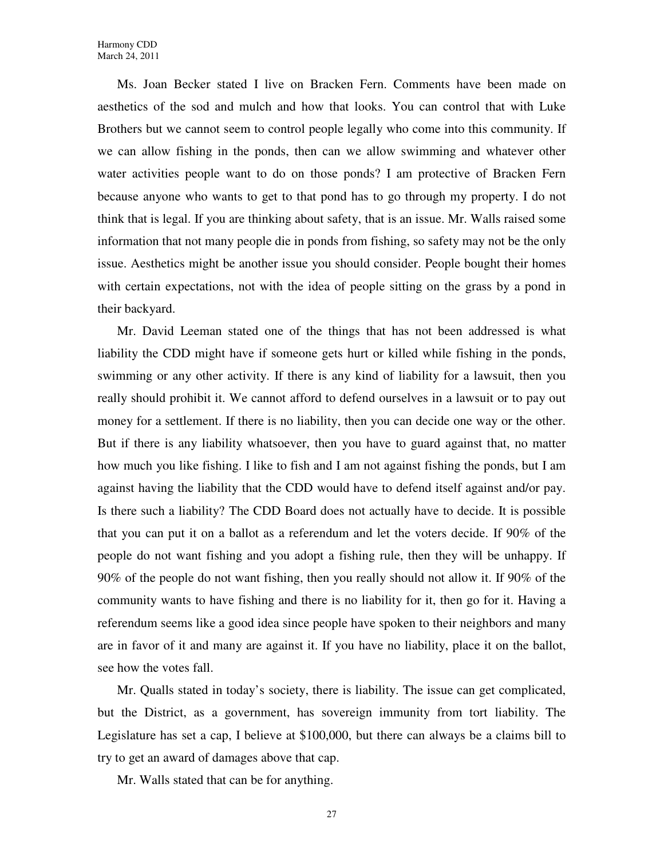Ms. Joan Becker stated I live on Bracken Fern. Comments have been made on aesthetics of the sod and mulch and how that looks. You can control that with Luke Brothers but we cannot seem to control people legally who come into this community. If we can allow fishing in the ponds, then can we allow swimming and whatever other water activities people want to do on those ponds? I am protective of Bracken Fern because anyone who wants to get to that pond has to go through my property. I do not think that is legal. If you are thinking about safety, that is an issue. Mr. Walls raised some information that not many people die in ponds from fishing, so safety may not be the only issue. Aesthetics might be another issue you should consider. People bought their homes with certain expectations, not with the idea of people sitting on the grass by a pond in their backyard.

Mr. David Leeman stated one of the things that has not been addressed is what liability the CDD might have if someone gets hurt or killed while fishing in the ponds, swimming or any other activity. If there is any kind of liability for a lawsuit, then you really should prohibit it. We cannot afford to defend ourselves in a lawsuit or to pay out money for a settlement. If there is no liability, then you can decide one way or the other. But if there is any liability whatsoever, then you have to guard against that, no matter how much you like fishing. I like to fish and I am not against fishing the ponds, but I am against having the liability that the CDD would have to defend itself against and/or pay. Is there such a liability? The CDD Board does not actually have to decide. It is possible that you can put it on a ballot as a referendum and let the voters decide. If 90% of the people do not want fishing and you adopt a fishing rule, then they will be unhappy. If 90% of the people do not want fishing, then you really should not allow it. If 90% of the community wants to have fishing and there is no liability for it, then go for it. Having a referendum seems like a good idea since people have spoken to their neighbors and many are in favor of it and many are against it. If you have no liability, place it on the ballot, see how the votes fall.

Mr. Qualls stated in today's society, there is liability. The issue can get complicated, but the District, as a government, has sovereign immunity from tort liability. The Legislature has set a cap, I believe at \$100,000, but there can always be a claims bill to try to get an award of damages above that cap.

Mr. Walls stated that can be for anything.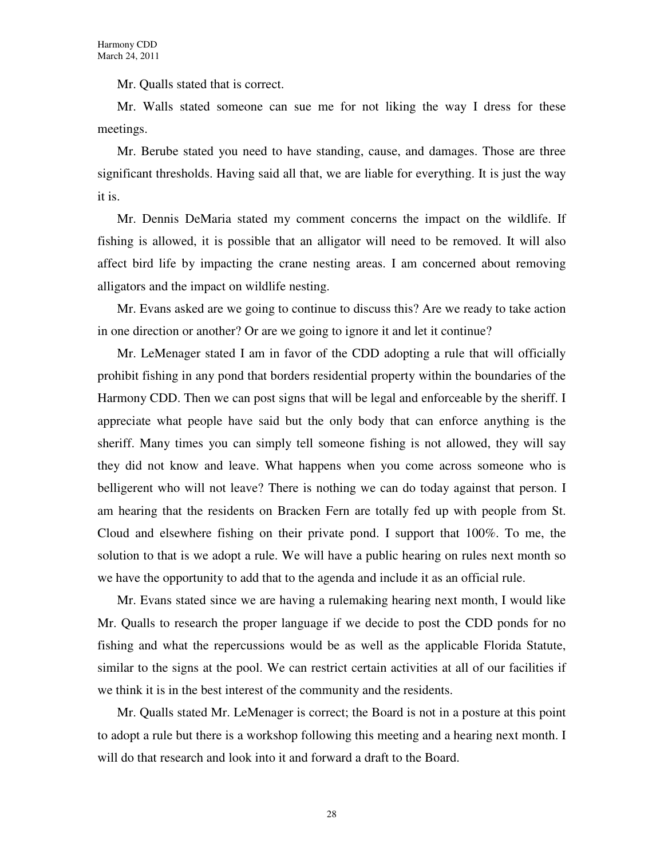Mr. Qualls stated that is correct.

Mr. Walls stated someone can sue me for not liking the way I dress for these meetings.

Mr. Berube stated you need to have standing, cause, and damages. Those are three significant thresholds. Having said all that, we are liable for everything. It is just the way it is.

Mr. Dennis DeMaria stated my comment concerns the impact on the wildlife. If fishing is allowed, it is possible that an alligator will need to be removed. It will also affect bird life by impacting the crane nesting areas. I am concerned about removing alligators and the impact on wildlife nesting.

Mr. Evans asked are we going to continue to discuss this? Are we ready to take action in one direction or another? Or are we going to ignore it and let it continue?

Mr. LeMenager stated I am in favor of the CDD adopting a rule that will officially prohibit fishing in any pond that borders residential property within the boundaries of the Harmony CDD. Then we can post signs that will be legal and enforceable by the sheriff. I appreciate what people have said but the only body that can enforce anything is the sheriff. Many times you can simply tell someone fishing is not allowed, they will say they did not know and leave. What happens when you come across someone who is belligerent who will not leave? There is nothing we can do today against that person. I am hearing that the residents on Bracken Fern are totally fed up with people from St. Cloud and elsewhere fishing on their private pond. I support that 100%. To me, the solution to that is we adopt a rule. We will have a public hearing on rules next month so we have the opportunity to add that to the agenda and include it as an official rule.

Mr. Evans stated since we are having a rulemaking hearing next month, I would like Mr. Qualls to research the proper language if we decide to post the CDD ponds for no fishing and what the repercussions would be as well as the applicable Florida Statute, similar to the signs at the pool. We can restrict certain activities at all of our facilities if we think it is in the best interest of the community and the residents.

Mr. Qualls stated Mr. LeMenager is correct; the Board is not in a posture at this point to adopt a rule but there is a workshop following this meeting and a hearing next month. I will do that research and look into it and forward a draft to the Board.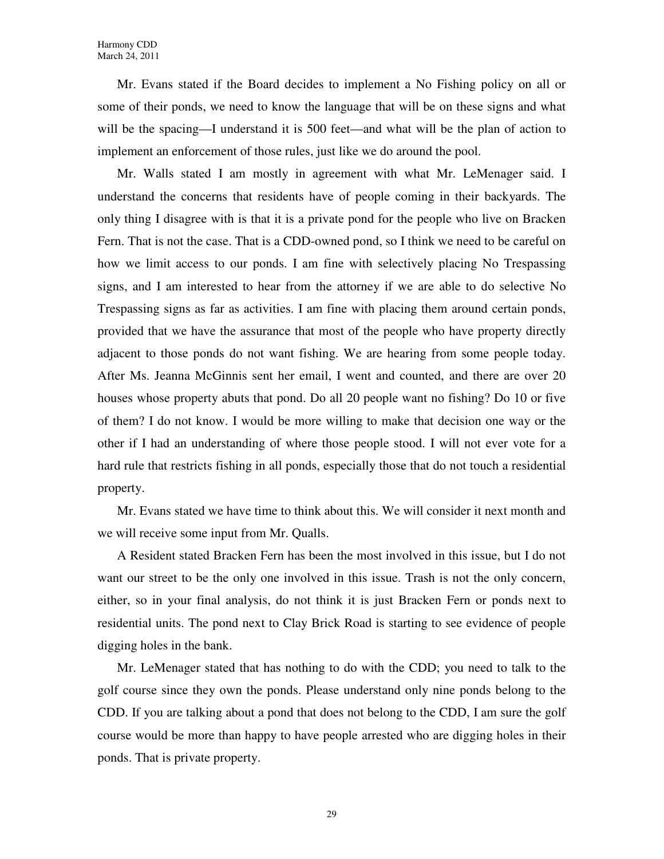Mr. Evans stated if the Board decides to implement a No Fishing policy on all or some of their ponds, we need to know the language that will be on these signs and what will be the spacing—I understand it is 500 feet—and what will be the plan of action to implement an enforcement of those rules, just like we do around the pool.

Mr. Walls stated I am mostly in agreement with what Mr. LeMenager said. I understand the concerns that residents have of people coming in their backyards. The only thing I disagree with is that it is a private pond for the people who live on Bracken Fern. That is not the case. That is a CDD-owned pond, so I think we need to be careful on how we limit access to our ponds. I am fine with selectively placing No Trespassing signs, and I am interested to hear from the attorney if we are able to do selective No Trespassing signs as far as activities. I am fine with placing them around certain ponds, provided that we have the assurance that most of the people who have property directly adjacent to those ponds do not want fishing. We are hearing from some people today. After Ms. Jeanna McGinnis sent her email, I went and counted, and there are over 20 houses whose property abuts that pond. Do all 20 people want no fishing? Do 10 or five of them? I do not know. I would be more willing to make that decision one way or the other if I had an understanding of where those people stood. I will not ever vote for a hard rule that restricts fishing in all ponds, especially those that do not touch a residential property.

Mr. Evans stated we have time to think about this. We will consider it next month and we will receive some input from Mr. Qualls.

A Resident stated Bracken Fern has been the most involved in this issue, but I do not want our street to be the only one involved in this issue. Trash is not the only concern, either, so in your final analysis, do not think it is just Bracken Fern or ponds next to residential units. The pond next to Clay Brick Road is starting to see evidence of people digging holes in the bank.

Mr. LeMenager stated that has nothing to do with the CDD; you need to talk to the golf course since they own the ponds. Please understand only nine ponds belong to the CDD. If you are talking about a pond that does not belong to the CDD, I am sure the golf course would be more than happy to have people arrested who are digging holes in their ponds. That is private property.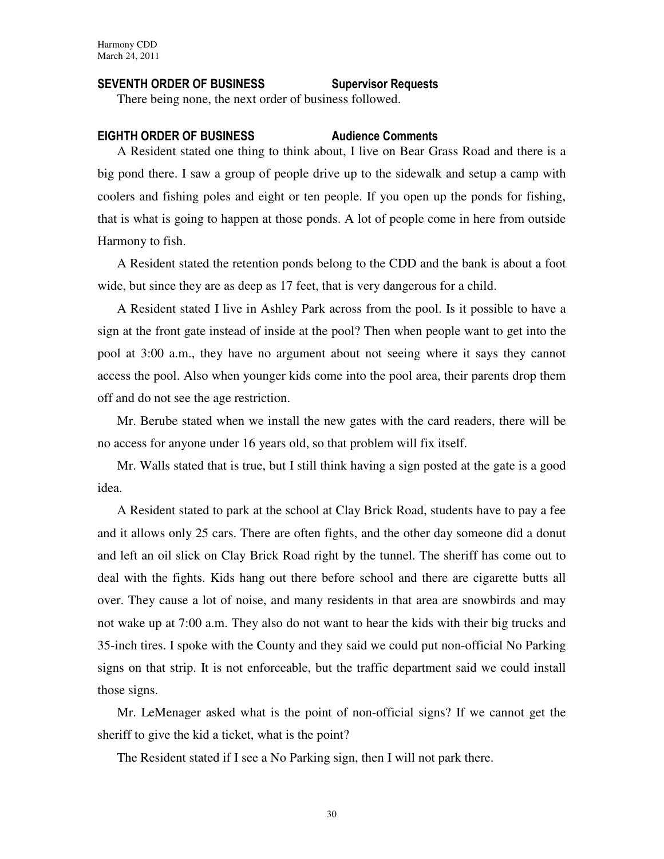### SEVENTH ORDER OF BUSINESS Supervisor Requests

There being none, the next order of business followed.

#### EIGHTH ORDER OF BUSINESS Audience Comments

A Resident stated one thing to think about, I live on Bear Grass Road and there is a big pond there. I saw a group of people drive up to the sidewalk and setup a camp with coolers and fishing poles and eight or ten people. If you open up the ponds for fishing, that is what is going to happen at those ponds. A lot of people come in here from outside Harmony to fish.

A Resident stated the retention ponds belong to the CDD and the bank is about a foot wide, but since they are as deep as 17 feet, that is very dangerous for a child.

A Resident stated I live in Ashley Park across from the pool. Is it possible to have a sign at the front gate instead of inside at the pool? Then when people want to get into the pool at 3:00 a.m., they have no argument about not seeing where it says they cannot access the pool. Also when younger kids come into the pool area, their parents drop them off and do not see the age restriction.

Mr. Berube stated when we install the new gates with the card readers, there will be no access for anyone under 16 years old, so that problem will fix itself.

Mr. Walls stated that is true, but I still think having a sign posted at the gate is a good idea.

A Resident stated to park at the school at Clay Brick Road, students have to pay a fee and it allows only 25 cars. There are often fights, and the other day someone did a donut and left an oil slick on Clay Brick Road right by the tunnel. The sheriff has come out to deal with the fights. Kids hang out there before school and there are cigarette butts all over. They cause a lot of noise, and many residents in that area are snowbirds and may not wake up at 7:00 a.m. They also do not want to hear the kids with their big trucks and 35-inch tires. I spoke with the County and they said we could put non-official No Parking signs on that strip. It is not enforceable, but the traffic department said we could install those signs.

Mr. LeMenager asked what is the point of non-official signs? If we cannot get the sheriff to give the kid a ticket, what is the point?

The Resident stated if I see a No Parking sign, then I will not park there.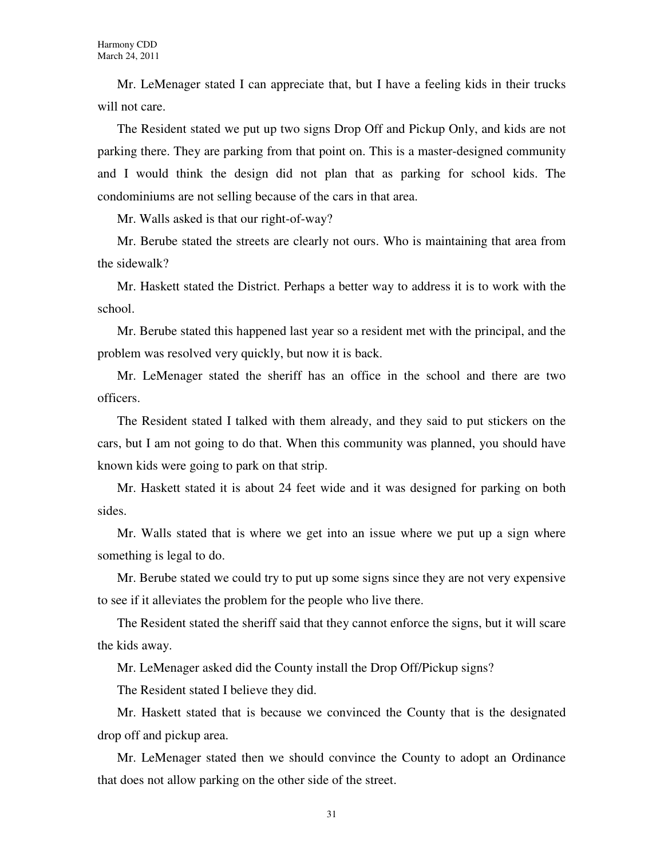Mr. LeMenager stated I can appreciate that, but I have a feeling kids in their trucks will not care.

The Resident stated we put up two signs Drop Off and Pickup Only, and kids are not parking there. They are parking from that point on. This is a master-designed community and I would think the design did not plan that as parking for school kids. The condominiums are not selling because of the cars in that area.

Mr. Walls asked is that our right-of-way?

Mr. Berube stated the streets are clearly not ours. Who is maintaining that area from the sidewalk?

Mr. Haskett stated the District. Perhaps a better way to address it is to work with the school.

Mr. Berube stated this happened last year so a resident met with the principal, and the problem was resolved very quickly, but now it is back.

Mr. LeMenager stated the sheriff has an office in the school and there are two officers.

The Resident stated I talked with them already, and they said to put stickers on the cars, but I am not going to do that. When this community was planned, you should have known kids were going to park on that strip.

Mr. Haskett stated it is about 24 feet wide and it was designed for parking on both sides.

Mr. Walls stated that is where we get into an issue where we put up a sign where something is legal to do.

Mr. Berube stated we could try to put up some signs since they are not very expensive to see if it alleviates the problem for the people who live there.

The Resident stated the sheriff said that they cannot enforce the signs, but it will scare the kids away.

Mr. LeMenager asked did the County install the Drop Off/Pickup signs?

The Resident stated I believe they did.

Mr. Haskett stated that is because we convinced the County that is the designated drop off and pickup area.

Mr. LeMenager stated then we should convince the County to adopt an Ordinance that does not allow parking on the other side of the street.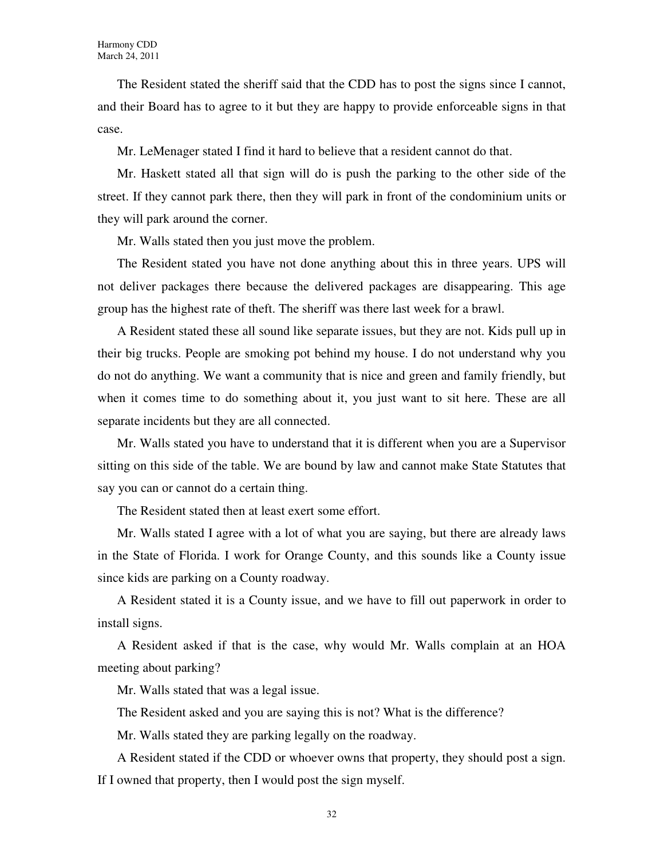The Resident stated the sheriff said that the CDD has to post the signs since I cannot, and their Board has to agree to it but they are happy to provide enforceable signs in that case.

Mr. LeMenager stated I find it hard to believe that a resident cannot do that.

Mr. Haskett stated all that sign will do is push the parking to the other side of the street. If they cannot park there, then they will park in front of the condominium units or they will park around the corner.

Mr. Walls stated then you just move the problem.

The Resident stated you have not done anything about this in three years. UPS will not deliver packages there because the delivered packages are disappearing. This age group has the highest rate of theft. The sheriff was there last week for a brawl.

A Resident stated these all sound like separate issues, but they are not. Kids pull up in their big trucks. People are smoking pot behind my house. I do not understand why you do not do anything. We want a community that is nice and green and family friendly, but when it comes time to do something about it, you just want to sit here. These are all separate incidents but they are all connected.

Mr. Walls stated you have to understand that it is different when you are a Supervisor sitting on this side of the table. We are bound by law and cannot make State Statutes that say you can or cannot do a certain thing.

The Resident stated then at least exert some effort.

Mr. Walls stated I agree with a lot of what you are saying, but there are already laws in the State of Florida. I work for Orange County, and this sounds like a County issue since kids are parking on a County roadway.

A Resident stated it is a County issue, and we have to fill out paperwork in order to install signs.

A Resident asked if that is the case, why would Mr. Walls complain at an HOA meeting about parking?

Mr. Walls stated that was a legal issue.

The Resident asked and you are saying this is not? What is the difference?

Mr. Walls stated they are parking legally on the roadway.

A Resident stated if the CDD or whoever owns that property, they should post a sign. If I owned that property, then I would post the sign myself.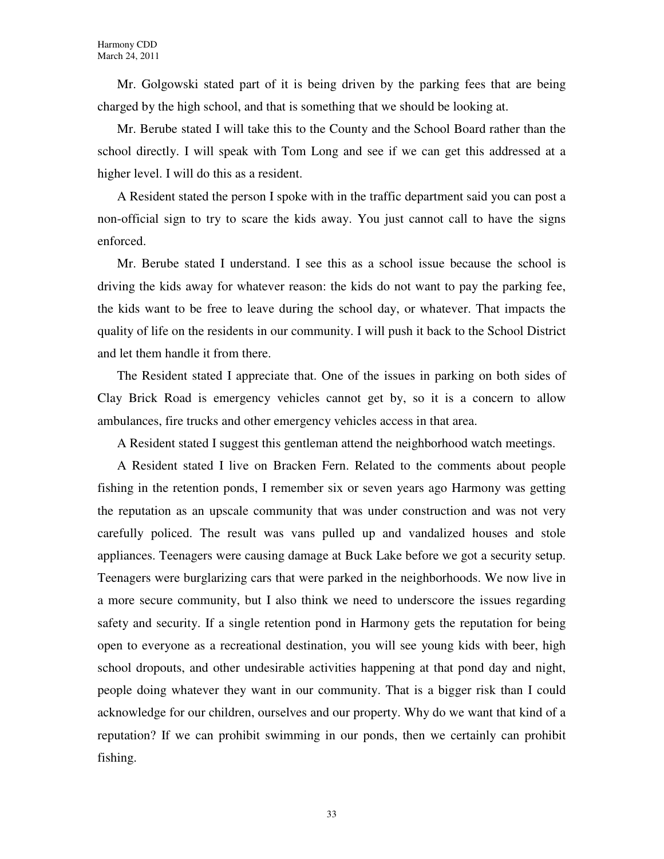Mr. Golgowski stated part of it is being driven by the parking fees that are being charged by the high school, and that is something that we should be looking at.

Mr. Berube stated I will take this to the County and the School Board rather than the school directly. I will speak with Tom Long and see if we can get this addressed at a higher level. I will do this as a resident.

A Resident stated the person I spoke with in the traffic department said you can post a non-official sign to try to scare the kids away. You just cannot call to have the signs enforced.

Mr. Berube stated I understand. I see this as a school issue because the school is driving the kids away for whatever reason: the kids do not want to pay the parking fee, the kids want to be free to leave during the school day, or whatever. That impacts the quality of life on the residents in our community. I will push it back to the School District and let them handle it from there.

The Resident stated I appreciate that. One of the issues in parking on both sides of Clay Brick Road is emergency vehicles cannot get by, so it is a concern to allow ambulances, fire trucks and other emergency vehicles access in that area.

A Resident stated I suggest this gentleman attend the neighborhood watch meetings.

A Resident stated I live on Bracken Fern. Related to the comments about people fishing in the retention ponds, I remember six or seven years ago Harmony was getting the reputation as an upscale community that was under construction and was not very carefully policed. The result was vans pulled up and vandalized houses and stole appliances. Teenagers were causing damage at Buck Lake before we got a security setup. Teenagers were burglarizing cars that were parked in the neighborhoods. We now live in a more secure community, but I also think we need to underscore the issues regarding safety and security. If a single retention pond in Harmony gets the reputation for being open to everyone as a recreational destination, you will see young kids with beer, high school dropouts, and other undesirable activities happening at that pond day and night, people doing whatever they want in our community. That is a bigger risk than I could acknowledge for our children, ourselves and our property. Why do we want that kind of a reputation? If we can prohibit swimming in our ponds, then we certainly can prohibit fishing.